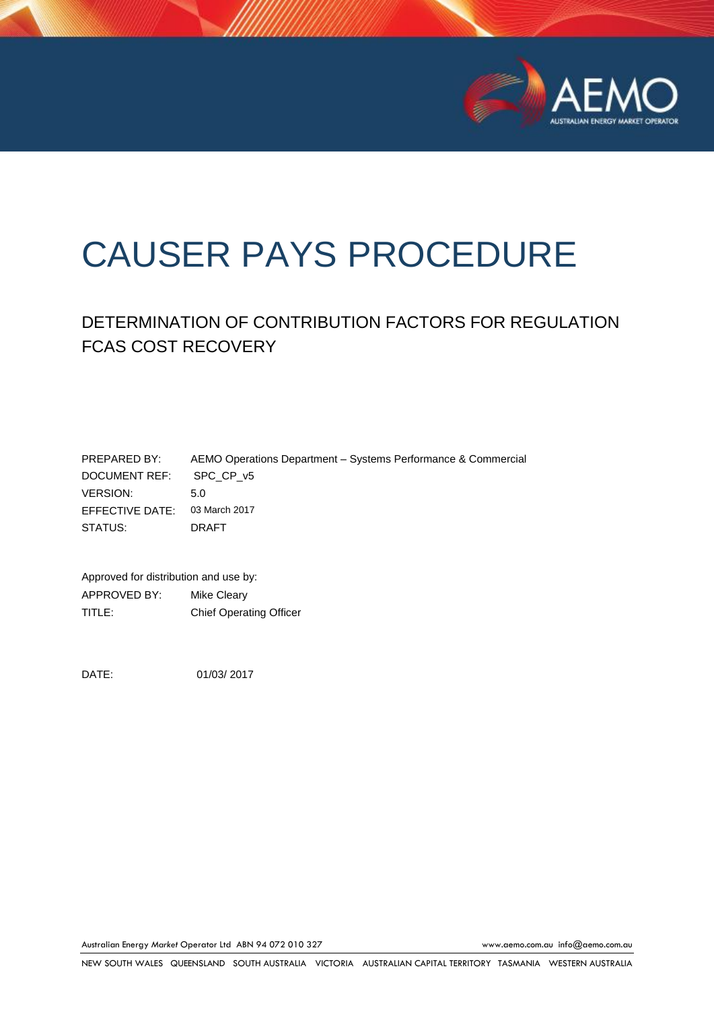

# CAUSER PAYS PROCEDURE

# DETERMINATION OF CONTRIBUTION FACTORS FOR REGULATION FCAS COST RECOVERY

| PREPARED BY:            | AEMO Operations Department – Systems Performance & Commercial |
|-------------------------|---------------------------------------------------------------|
| DOCUMENT REF: SPC CP v5 |                                                               |
| VERSION:                | .5 O                                                          |
| EFFECTIVE DATE:         | 03 March 2017                                                 |
| STATUS:                 | DRAFT                                                         |

Approved for distribution and use by: APPROVED BY: Mike Cleary TITLE: Chief Operating Officer

DATE: 01/03/ 2017

Australian Energy *Market* Operator Ltd ABN 94 072 010 327 [www.aemo.com.au](http://www.aemo.com.au/) [info@aemo.com.au](mailto:info@aemo.com.au)

NEW SOUTH WALES QUEENSLAND SOUTH AUSTRALIA VICTORIA AUSTRALIAN CAPITAL TERRITORY TASMANIA WESTERN AUSTRALIA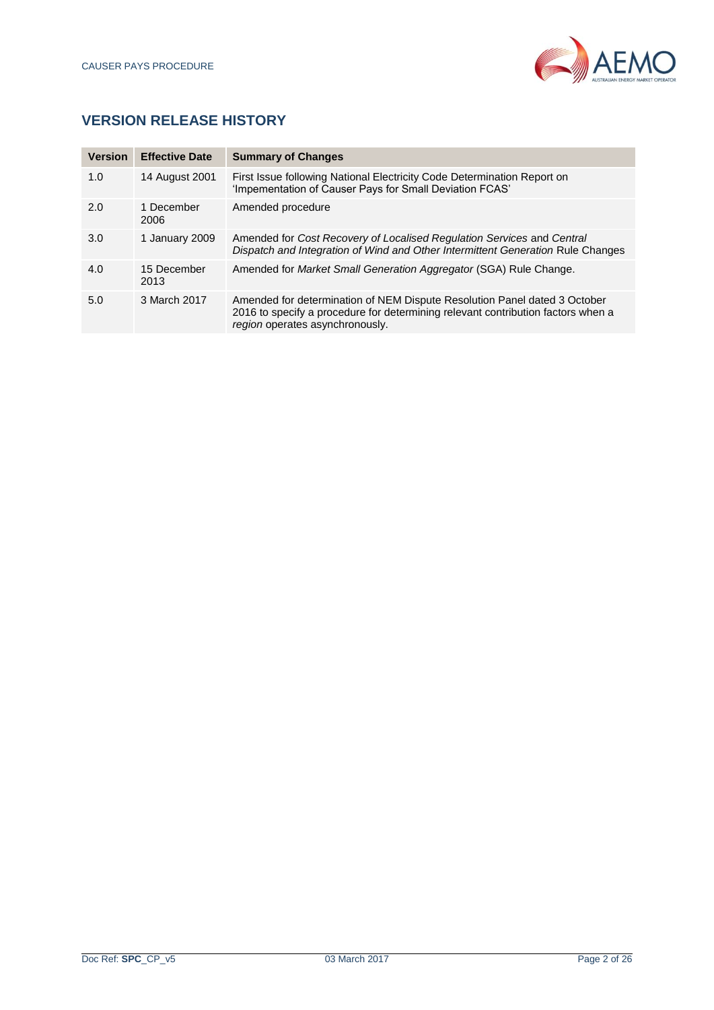

# **VERSION RELEASE HISTORY**

| <b>Version</b> | <b>Effective Date</b> | <b>Summary of Changes</b>                                                                                                                                                                        |
|----------------|-----------------------|--------------------------------------------------------------------------------------------------------------------------------------------------------------------------------------------------|
| 1.0            | 14 August 2001        | First Issue following National Electricity Code Determination Report on<br>'Impementation of Causer Pays for Small Deviation FCAS'                                                               |
| 2.0            | 1 December<br>2006    | Amended procedure                                                                                                                                                                                |
| 3.0            | 1 January 2009        | Amended for Cost Recovery of Localised Regulation Services and Central<br>Dispatch and Integration of Wind and Other Intermittent Generation Rule Changes                                        |
| 4.0            | 15 December<br>2013   | Amended for Market Small Generation Aggregator (SGA) Rule Change.                                                                                                                                |
| 5.0            | 3 March 2017          | Amended for determination of NEM Dispute Resolution Panel dated 3 October<br>2016 to specify a procedure for determining relevant contribution factors when a<br>region operates asynchronously. |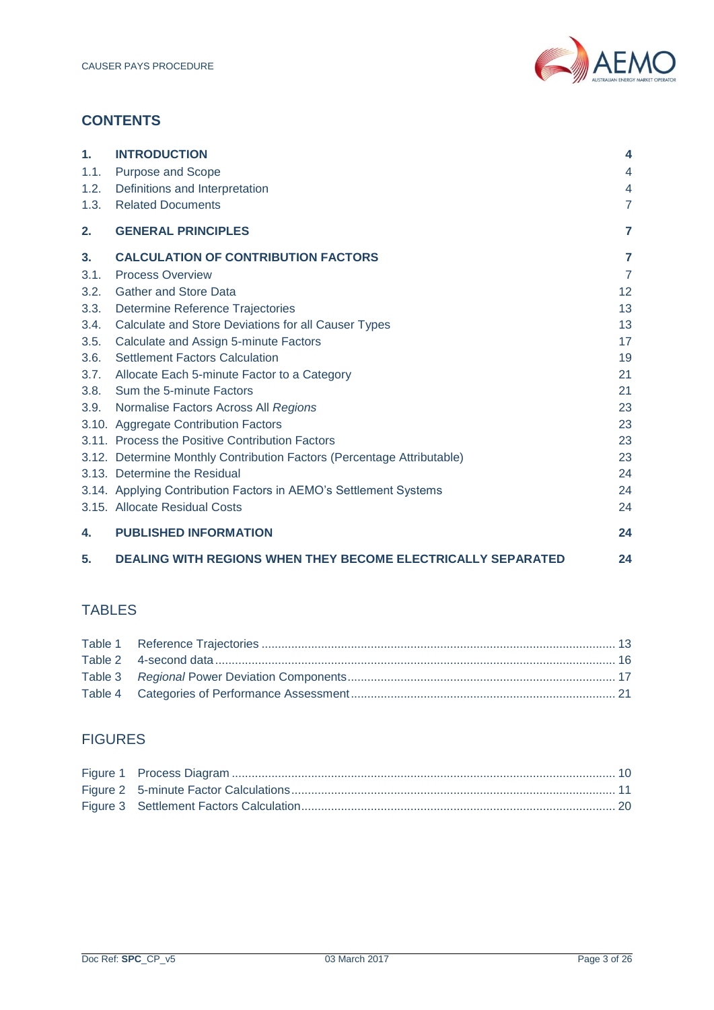

# **CONTENTS**

| 1.   | <b>INTRODUCTION</b>                                                    | 4              |
|------|------------------------------------------------------------------------|----------------|
| 1.1. | <b>Purpose and Scope</b>                                               | 4              |
| 1.2. | Definitions and Interpretation                                         | $\overline{4}$ |
| 1.3. | <b>Related Documents</b>                                               | $\overline{7}$ |
| 2.   | <b>GENERAL PRINCIPLES</b>                                              | $\overline{7}$ |
| 3.   | <b>CALCULATION OF CONTRIBUTION FACTORS</b>                             | 7              |
| 3.1. | <b>Process Overview</b>                                                | $\overline{7}$ |
| 3.2. | <b>Gather and Store Data</b>                                           | 12             |
| 3.3. | Determine Reference Trajectories                                       | 13             |
| 3.4. | Calculate and Store Deviations for all Causer Types                    | 13             |
| 3.5. | Calculate and Assign 5-minute Factors                                  | 17             |
| 3.6. | <b>Settlement Factors Calculation</b>                                  | 19             |
| 3.7. | Allocate Each 5-minute Factor to a Category                            | 21             |
| 3.8. | Sum the 5-minute Factors                                               | 21             |
| 3.9. | Normalise Factors Across All Regions                                   | 23             |
|      | 3.10. Aggregate Contribution Factors                                   | 23             |
|      | 3.11. Process the Positive Contribution Factors                        | 23             |
|      | 3.12. Determine Monthly Contribution Factors (Percentage Attributable) | 23             |
|      | 3.13. Determine the Residual                                           | 24             |
|      | 3.14. Applying Contribution Factors in AEMO's Settlement Systems       | 24             |
|      | 3.15. Allocate Residual Costs                                          | 24             |
| 4.   | <b>PUBLISHED INFORMATION</b>                                           | 24             |
| 5.   | <b>DEALING WITH REGIONS WHEN THEY BECOME ELECTRICALLY SEPARATED</b>    | 24             |

# TABLES

# FIGURES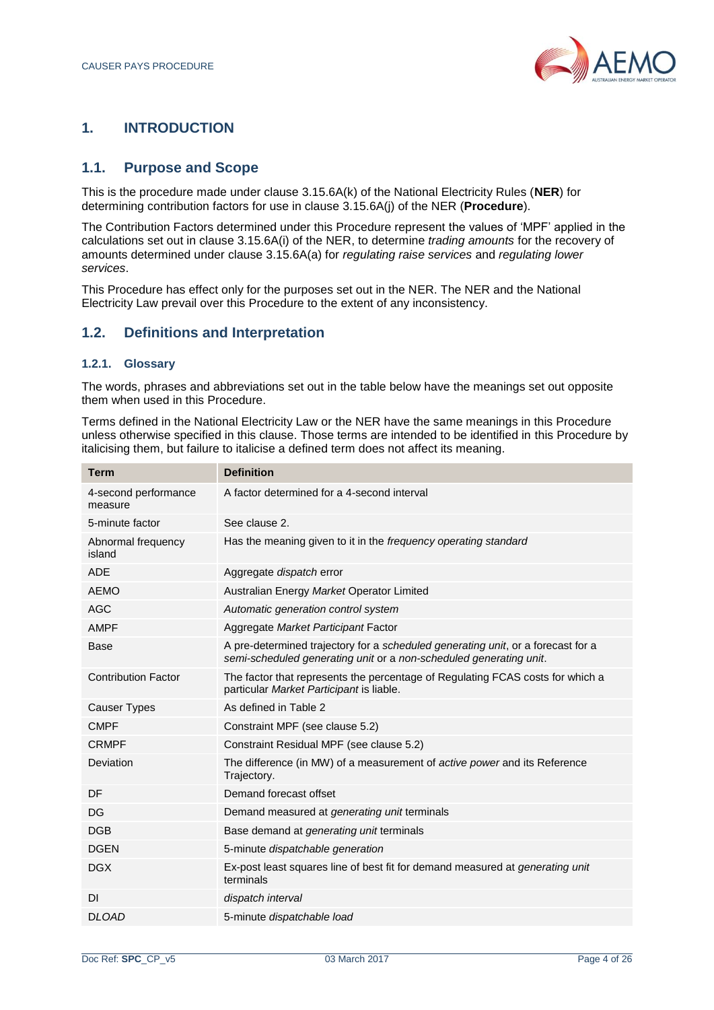

# <span id="page-3-0"></span>**1. INTRODUCTION**

# <span id="page-3-1"></span>**1.1. Purpose and Scope**

This is the procedure made under clause 3.15.6A(k) of the National Electricity Rules (**NER**) for determining contribution factors for use in clause 3.15.6A(j) of the NER (**Procedure**).

The Contribution Factors determined under this Procedure represent the values of 'MPF' applied in the calculations set out in clause 3.15.6A(i) of the NER, to determine *trading amounts* for the recovery of amounts determined under clause 3.15.6A(a) for *regulating raise services* and *regulating lower services*.

This Procedure has effect only for the purposes set out in the NER. The NER and the National Electricity Law prevail over this Procedure to the extent of any inconsistency.

# <span id="page-3-2"></span>**1.2. Definitions and Interpretation**

#### **1.2.1. Glossary**

The words, phrases and abbreviations set out in the table below have the meanings set out opposite them when used in this Procedure.

Terms defined in the National Electricity Law or the NER have the same meanings in this Procedure unless otherwise specified in this clause. Those terms are intended to be identified in this Procedure by italicising them, but failure to italicise a defined term does not affect its meaning.

| <b>Term</b>                     | <b>Definition</b>                                                                                                                                      |
|---------------------------------|--------------------------------------------------------------------------------------------------------------------------------------------------------|
| 4-second performance<br>measure | A factor determined for a 4-second interval                                                                                                            |
| 5-minute factor                 | See clause 2.                                                                                                                                          |
| Abnormal frequency<br>island    | Has the meaning given to it in the frequency operating standard                                                                                        |
| <b>ADE</b>                      | Aggregate dispatch error                                                                                                                               |
| <b>AEMO</b>                     | Australian Energy Market Operator Limited                                                                                                              |
| <b>AGC</b>                      | Automatic generation control system                                                                                                                    |
| <b>AMPF</b>                     | Aggregate Market Participant Factor                                                                                                                    |
| <b>Base</b>                     | A pre-determined trajectory for a scheduled generating unit, or a forecast for a<br>semi-scheduled generating unit or a non-scheduled generating unit. |
| <b>Contribution Factor</b>      | The factor that represents the percentage of Regulating FCAS costs for which a<br>particular Market Participant is liable.                             |
| <b>Causer Types</b>             | As defined in Table 2                                                                                                                                  |
| <b>CMPF</b>                     | Constraint MPF (see clause 5.2)                                                                                                                        |
| <b>CRMPF</b>                    | Constraint Residual MPF (see clause 5.2)                                                                                                               |
| Deviation                       | The difference (in MW) of a measurement of active power and its Reference<br>Trajectory.                                                               |
| DF                              | Demand forecast offset                                                                                                                                 |
| DG                              | Demand measured at <i>generating unit</i> terminals                                                                                                    |
| <b>DGB</b>                      | Base demand at <i>generating unit</i> terminals                                                                                                        |
| <b>DGEN</b>                     | 5-minute dispatchable generation                                                                                                                       |
| <b>DGX</b>                      | Ex-post least squares line of best fit for demand measured at generating unit<br>terminals                                                             |
| <b>DI</b>                       | dispatch interval                                                                                                                                      |
| <b>DLOAD</b>                    | 5-minute dispatchable load                                                                                                                             |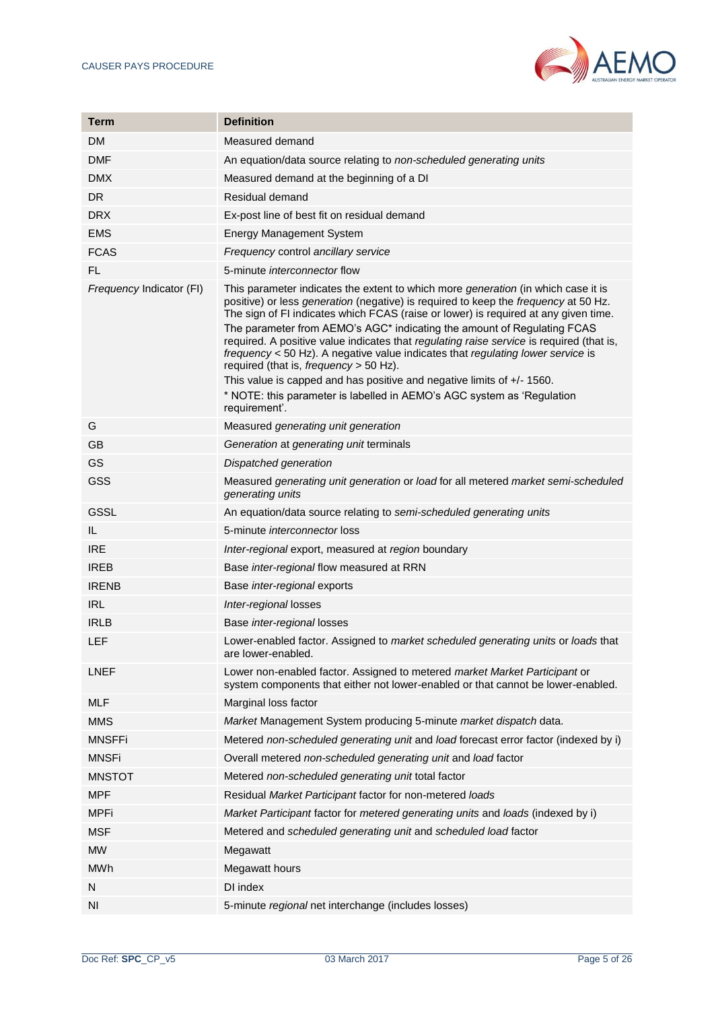

| Term                     | <b>Definition</b>                                                                                                                                                                                                                                                                                                                                                                                                                                                                                                                                                                                                                                                                                                                                        |  |
|--------------------------|----------------------------------------------------------------------------------------------------------------------------------------------------------------------------------------------------------------------------------------------------------------------------------------------------------------------------------------------------------------------------------------------------------------------------------------------------------------------------------------------------------------------------------------------------------------------------------------------------------------------------------------------------------------------------------------------------------------------------------------------------------|--|
| DM.                      | Measured demand                                                                                                                                                                                                                                                                                                                                                                                                                                                                                                                                                                                                                                                                                                                                          |  |
| <b>DMF</b>               | An equation/data source relating to non-scheduled generating units                                                                                                                                                                                                                                                                                                                                                                                                                                                                                                                                                                                                                                                                                       |  |
| DMX                      | Measured demand at the beginning of a DI                                                                                                                                                                                                                                                                                                                                                                                                                                                                                                                                                                                                                                                                                                                 |  |
| DR                       | Residual demand                                                                                                                                                                                                                                                                                                                                                                                                                                                                                                                                                                                                                                                                                                                                          |  |
| <b>DRX</b>               | Ex-post line of best fit on residual demand                                                                                                                                                                                                                                                                                                                                                                                                                                                                                                                                                                                                                                                                                                              |  |
| <b>EMS</b>               | <b>Energy Management System</b>                                                                                                                                                                                                                                                                                                                                                                                                                                                                                                                                                                                                                                                                                                                          |  |
| <b>FCAS</b>              | Frequency control ancillary service                                                                                                                                                                                                                                                                                                                                                                                                                                                                                                                                                                                                                                                                                                                      |  |
| FL.                      | 5-minute <i>interconnector</i> flow                                                                                                                                                                                                                                                                                                                                                                                                                                                                                                                                                                                                                                                                                                                      |  |
| Frequency Indicator (FI) | This parameter indicates the extent to which more <i>generation</i> (in which case it is<br>positive) or less generation (negative) is required to keep the frequency at 50 Hz.<br>The sign of FI indicates which FCAS (raise or lower) is required at any given time.<br>The parameter from AEMO's AGC* indicating the amount of Regulating FCAS<br>required. A positive value indicates that regulating raise service is required (that is,<br>frequency < 50 Hz). A negative value indicates that regulating lower service is<br>required (that is, <i>frequency</i> > 50 Hz).<br>This value is capped and has positive and negative limits of $+/-1560$ .<br>* NOTE: this parameter is labelled in AEMO's AGC system as 'Regulation<br>requirement'. |  |
| G                        | Measured generating unit generation                                                                                                                                                                                                                                                                                                                                                                                                                                                                                                                                                                                                                                                                                                                      |  |
| GВ                       | Generation at generating unit terminals                                                                                                                                                                                                                                                                                                                                                                                                                                                                                                                                                                                                                                                                                                                  |  |
| <b>GS</b>                | Dispatched generation                                                                                                                                                                                                                                                                                                                                                                                                                                                                                                                                                                                                                                                                                                                                    |  |
| <b>GSS</b>               | Measured generating unit generation or load for all metered market semi-scheduled<br>generating units                                                                                                                                                                                                                                                                                                                                                                                                                                                                                                                                                                                                                                                    |  |
| <b>GSSL</b>              | An equation/data source relating to semi-scheduled generating units                                                                                                                                                                                                                                                                                                                                                                                                                                                                                                                                                                                                                                                                                      |  |
| IL.                      | 5-minute <i>interconnector</i> loss                                                                                                                                                                                                                                                                                                                                                                                                                                                                                                                                                                                                                                                                                                                      |  |
| <b>IRE</b>               | Inter-regional export, measured at region boundary                                                                                                                                                                                                                                                                                                                                                                                                                                                                                                                                                                                                                                                                                                       |  |
| <b>IREB</b>              | Base inter-regional flow measured at RRN                                                                                                                                                                                                                                                                                                                                                                                                                                                                                                                                                                                                                                                                                                                 |  |
| <b>IRENB</b>             | Base inter-regional exports                                                                                                                                                                                                                                                                                                                                                                                                                                                                                                                                                                                                                                                                                                                              |  |
| <b>IRL</b>               | Inter-regional losses                                                                                                                                                                                                                                                                                                                                                                                                                                                                                                                                                                                                                                                                                                                                    |  |
| <b>IRLB</b>              | Base inter-regional losses                                                                                                                                                                                                                                                                                                                                                                                                                                                                                                                                                                                                                                                                                                                               |  |
| <b>LEF</b>               | Lower-enabled factor. Assigned to market scheduled generating units or loads that<br>are lower-enabled.                                                                                                                                                                                                                                                                                                                                                                                                                                                                                                                                                                                                                                                  |  |
| <b>LNEF</b>              | Lower non-enabled factor. Assigned to metered market Market Participant or<br>system components that either not lower-enabled or that cannot be lower-enabled.                                                                                                                                                                                                                                                                                                                                                                                                                                                                                                                                                                                           |  |
| MLF                      | Marginal loss factor                                                                                                                                                                                                                                                                                                                                                                                                                                                                                                                                                                                                                                                                                                                                     |  |
| MMS                      | Market Management System producing 5-minute market dispatch data.                                                                                                                                                                                                                                                                                                                                                                                                                                                                                                                                                                                                                                                                                        |  |
| <b>MNSFFi</b>            | Metered non-scheduled generating unit and load forecast error factor (indexed by i)                                                                                                                                                                                                                                                                                                                                                                                                                                                                                                                                                                                                                                                                      |  |
| MNSFi                    | Overall metered non-scheduled generating unit and load factor                                                                                                                                                                                                                                                                                                                                                                                                                                                                                                                                                                                                                                                                                            |  |
| MNSTOT                   | Metered non-scheduled generating unit total factor                                                                                                                                                                                                                                                                                                                                                                                                                                                                                                                                                                                                                                                                                                       |  |
| <b>MPF</b>               | Residual Market Participant factor for non-metered loads                                                                                                                                                                                                                                                                                                                                                                                                                                                                                                                                                                                                                                                                                                 |  |
| <b>MPFi</b>              | Market Participant factor for metered generating units and loads (indexed by i)                                                                                                                                                                                                                                                                                                                                                                                                                                                                                                                                                                                                                                                                          |  |
| <b>MSF</b>               | Metered and scheduled generating unit and scheduled load factor                                                                                                                                                                                                                                                                                                                                                                                                                                                                                                                                                                                                                                                                                          |  |
| <b>MW</b>                | Megawatt                                                                                                                                                                                                                                                                                                                                                                                                                                                                                                                                                                                                                                                                                                                                                 |  |
| MWh                      | Megawatt hours                                                                                                                                                                                                                                                                                                                                                                                                                                                                                                                                                                                                                                                                                                                                           |  |
| N                        | DI index                                                                                                                                                                                                                                                                                                                                                                                                                                                                                                                                                                                                                                                                                                                                                 |  |
| ΝI                       | 5-minute regional net interchange (includes losses)                                                                                                                                                                                                                                                                                                                                                                                                                                                                                                                                                                                                                                                                                                      |  |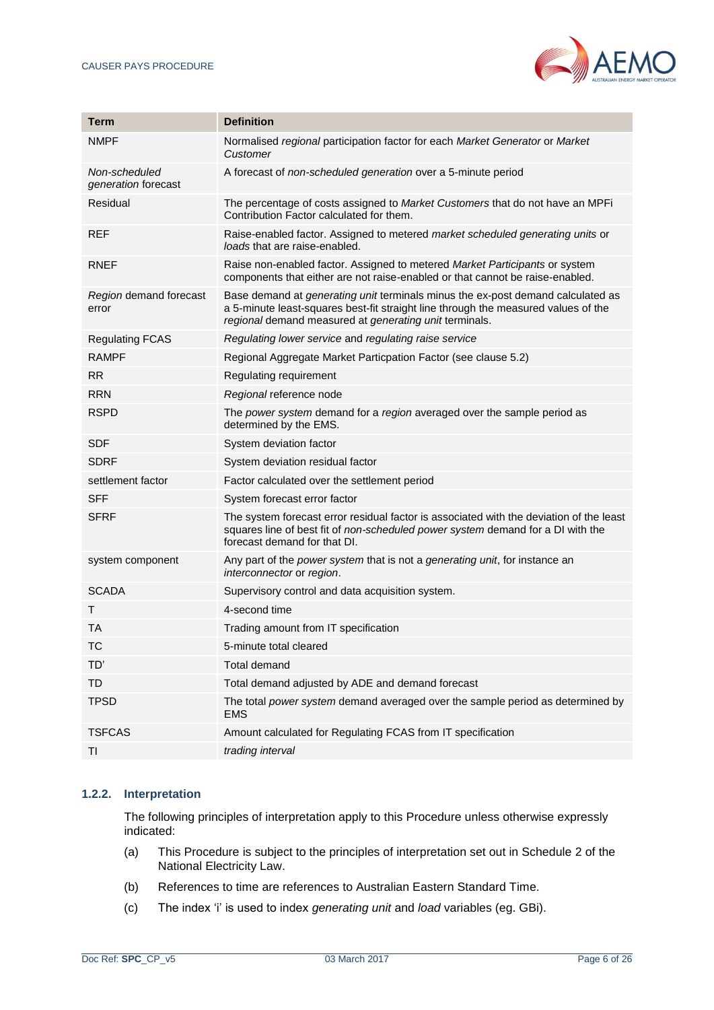

| Term                                 | <b>Definition</b>                                                                                                                                                                                                                      |
|--------------------------------------|----------------------------------------------------------------------------------------------------------------------------------------------------------------------------------------------------------------------------------------|
| <b>NMPF</b>                          | Normalised regional participation factor for each Market Generator or Market<br>Customer                                                                                                                                               |
| Non-scheduled<br>generation forecast | A forecast of non-scheduled generation over a 5-minute period                                                                                                                                                                          |
| Residual                             | The percentage of costs assigned to Market Customers that do not have an MPFi<br>Contribution Factor calculated for them.                                                                                                              |
| REF                                  | Raise-enabled factor. Assigned to metered market scheduled generating units or<br>loads that are raise-enabled.                                                                                                                        |
| RNEF                                 | Raise non-enabled factor. Assigned to metered Market Participants or system<br>components that either are not raise-enabled or that cannot be raise-enabled.                                                                           |
| Region demand forecast<br>error      | Base demand at <i>generating unit</i> terminals minus the ex-post demand calculated as<br>a 5-minute least-squares best-fit straight line through the measured values of the<br>regional demand measured at generating unit terminals. |
| <b>Regulating FCAS</b>               | Regulating lower service and regulating raise service                                                                                                                                                                                  |
| <b>RAMPF</b>                         | Regional Aggregate Market Particpation Factor (see clause 5.2)                                                                                                                                                                         |
| <b>RR</b>                            | Regulating requirement                                                                                                                                                                                                                 |
| <b>RRN</b>                           | Regional reference node                                                                                                                                                                                                                |
| <b>RSPD</b>                          | The power system demand for a region averaged over the sample period as<br>determined by the EMS.                                                                                                                                      |
| <b>SDF</b>                           | System deviation factor                                                                                                                                                                                                                |
| <b>SDRF</b>                          | System deviation residual factor                                                                                                                                                                                                       |
| settlement factor                    | Factor calculated over the settlement period                                                                                                                                                                                           |
| SFF                                  | System forecast error factor                                                                                                                                                                                                           |
| <b>SFRF</b>                          | The system forecast error residual factor is associated with the deviation of the least<br>squares line of best fit of non-scheduled power system demand for a DI with the<br>forecast demand for that DI.                             |
| system component                     | Any part of the power system that is not a generating unit, for instance an<br>interconnector or region.                                                                                                                               |
| <b>SCADA</b>                         | Supervisory control and data acquisition system.                                                                                                                                                                                       |
| т                                    | 4-second time                                                                                                                                                                                                                          |
| TA                                   | Trading amount from IT specification                                                                                                                                                                                                   |
| ТC                                   | 5-minute total cleared                                                                                                                                                                                                                 |
| TD'                                  | <b>Total demand</b>                                                                                                                                                                                                                    |
| TD                                   | Total demand adjusted by ADE and demand forecast                                                                                                                                                                                       |
| <b>TPSD</b>                          | The total power system demand averaged over the sample period as determined by<br><b>EMS</b>                                                                                                                                           |
| <b>TSFCAS</b>                        | Amount calculated for Regulating FCAS from IT specification                                                                                                                                                                            |
| TI                                   | trading interval                                                                                                                                                                                                                       |

## **1.2.2. Interpretation**

The following principles of interpretation apply to this Procedure unless otherwise expressly indicated:

- (a) This Procedure is subject to the principles of interpretation set out in Schedule 2 of the National Electricity Law.
- (b) References to time are references to Australian Eastern Standard Time.
- (c) The index 'i' is used to index *generating unit* and *load* variables (eg. GBi).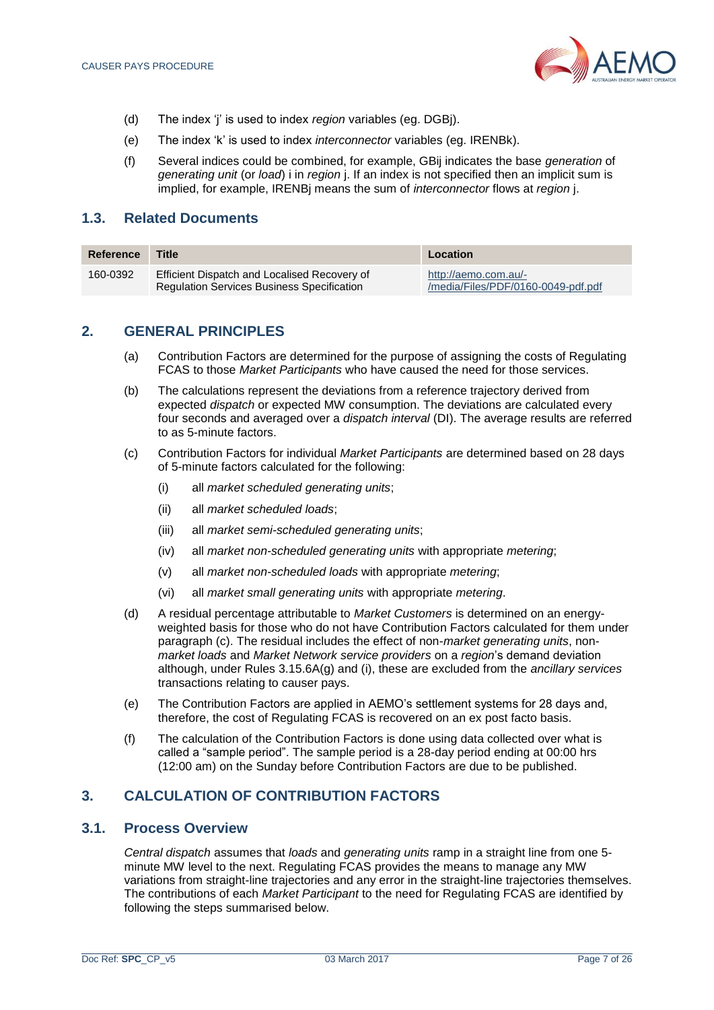

- (d) The index 'j' is used to index *region* variables (eg. DGBj).
- (e) The index 'k' is used to index *interconnector* variables (eg. IRENBk).
- (f) Several indices could be combined, for example, GBij indicates the base *generation* of *generating unit* (or *load*) i in *region* j. If an index is not specified then an implicit sum is implied, for example, IRENBj means the sum of *interconnector* flows at *region* j.

# <span id="page-6-0"></span>**1.3. Related Documents**

| Reference | Title                                                                                             | Location                                                   |
|-----------|---------------------------------------------------------------------------------------------------|------------------------------------------------------------|
| 160-0392  | Efficient Dispatch and Localised Recovery of<br><b>Regulation Services Business Specification</b> | http://aemo.com.au/-<br>/media/Files/PDF/0160-0049-pdf.pdf |

# <span id="page-6-1"></span>**2. GENERAL PRINCIPLES**

- (a) Contribution Factors are determined for the purpose of assigning the costs of Regulating FCAS to those *Market Participants* who have caused the need for those services.
- (b) The calculations represent the deviations from a reference trajectory derived from expected *dispatch* or expected MW consumption. The deviations are calculated every four seconds and averaged over a *dispatch interval* (DI). The average results are referred to as 5-minute factors.
- (c) Contribution Factors for individual *Market Participants* are determined based on 28 days of 5-minute factors calculated for the following:
	- (i) all *market scheduled generating units*;
	- (ii) all *market scheduled loads*;
	- (iii) all *market semi-scheduled generating units*;
	- (iv) all *market non-scheduled generating units* with appropriate *metering*;
	- (v) all *market non-scheduled loads* with appropriate *metering*;
	- (vi) all *market small generating units* with appropriate *metering*.
- (d) A residual percentage attributable to *Market Customers* is determined on an energyweighted basis for those who do not have Contribution Factors calculated for them under paragraph (c). The residual includes the effect of non-*market generating units*, non*market loads* and *Market Network service providers* on a *region*'s demand deviation although, under Rules 3.15.6A(g) and (i), these are excluded from the *ancillary services* transactions relating to causer pays.
- (e) The Contribution Factors are applied in AEMO's settlement systems for 28 days and, therefore, the cost of Regulating FCAS is recovered on an ex post facto basis.
- (f) The calculation of the Contribution Factors is done using data collected over what is called a "sample period". The sample period is a 28-day period ending at 00:00 hrs (12:00 am) on the Sunday before Contribution Factors are due to be published.

# <span id="page-6-2"></span>**3. CALCULATION OF CONTRIBUTION FACTORS**

# <span id="page-6-3"></span>**3.1. Process Overview**

*Central dispatch* assumes that *loads* and *generating units* ramp in a straight line from one 5 minute MW level to the next. Regulating FCAS provides the means to manage any MW variations from straight-line trajectories and any error in the straight-line trajectories themselves. The contributions of each *Market Participant* to the need for Regulating FCAS are identified by following the steps summarised below.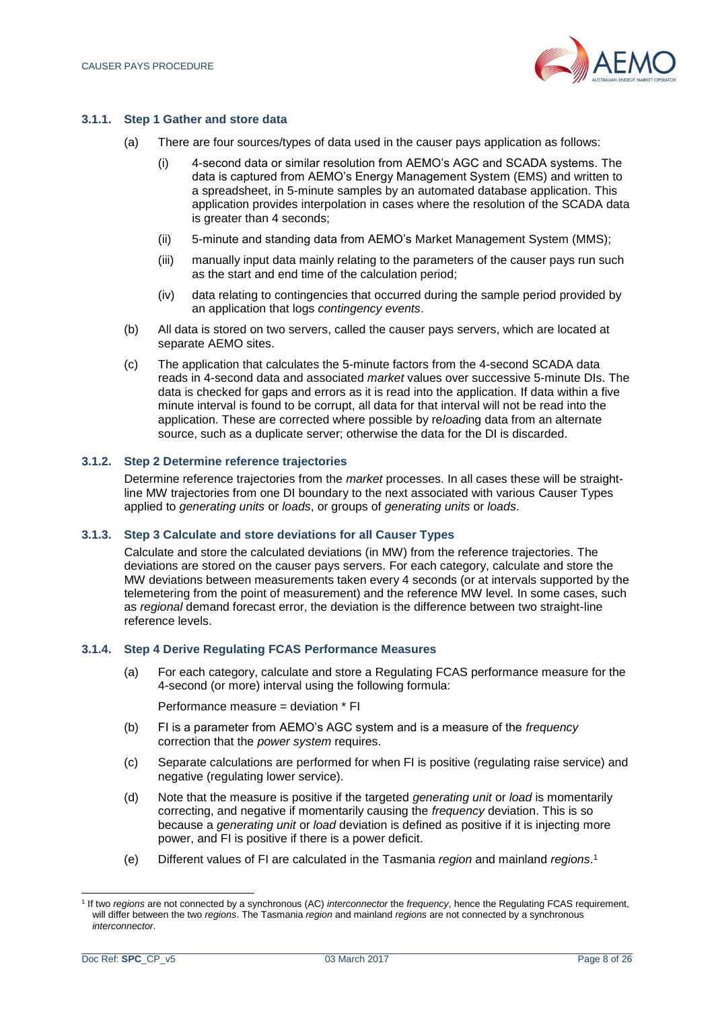

#### **3.1.1. Step 1 Gather and store data**

- (a) There are four sources/types of data used in the causer pays application as follows:
	- (i) 4-second data or similar resolution from AEMO's AGC and SCADA systems. The data is captured from AEMO's Energy Management System (EMS) and written to a spreadsheet, in 5-minute samples by an automated database application. This application provides interpolation in cases where the resolution of the SCADA data is greater than 4 seconds;
	- (ii) 5-minute and standing data from AEMO's Market Management System (MMS);
	- (iii) manually input data mainly relating to the parameters of the causer pays run such as the start and end time of the calculation period;
	- (iv) data relating to contingencies that occurred during the sample period provided by an application that logs *contingency events*.
- (b) All data is stored on two servers, called the causer pays servers, which are located at separate AEMO sites.
- (c) The application that calculates the 5-minute factors from the 4-second SCADA data reads in 4-second data and associated *market* values over successive 5-minute DIs. The data is checked for gaps and errors as it is read into the application. If data within a five minute interval is found to be corrupt, all data for that interval will not be read into the application. These are corrected where possible by re*load*ing data from an alternate source, such as a duplicate server; otherwise the data for the DI is discarded.

#### **3.1.2. Step 2 Determine reference trajectories**

Determine reference trajectories from the *market* processes. In all cases these will be straightline MW trajectories from one DI boundary to the next associated with various Causer Types applied to *generating units* or *loads*, or groups of *generating units* or *loads*.

#### **3.1.3. Step 3 Calculate and store deviations for all Causer Types**

Calculate and store the calculated deviations (in MW) from the reference trajectories. The deviations are stored on the causer pays servers. For each category, calculate and store the MW deviations between measurements taken every 4 seconds (or at intervals supported by the telemetering from the point of measurement) and the reference MW level. In some cases, such as *regional* demand forecast error, the deviation is the difference between two straight-line reference levels.

#### **3.1.4. Step 4 Derive Regulating FCAS Performance Measures**

(a) For each category, calculate and store a Regulating FCAS performance measure for the 4-second (or more) interval using the following formula:

Performance measure = deviation \* FI

- (b) FI is a parameter from AEMO's AGC system and is a measure of the *frequency* correction that the *power system* requires.
- (c) Separate calculations are performed for when FI is positive (regulating raise service) and negative (regulating lower service).
- (d) Note that the measure is positive if the targeted *generating unit* or *load* is momentarily correcting, and negative if momentarily causing the *frequency* deviation. This is so because a *generating unit* or *load* deviation is defined as positive if it is injecting more power, and FI is positive if there is a power deficit.
- (e) Different values of FI are calculated in the Tasmania *region* and mainland *regions*. 1

<sup>1</sup> If two *regions* are not connected by a synchronous (AC) *interconnector* the *frequency*, hence the Regulating FCAS requirement, will differ between the two *regions*. The Tasmania *region* and mainland *regions* are not connected by a synchronous *interconnector*.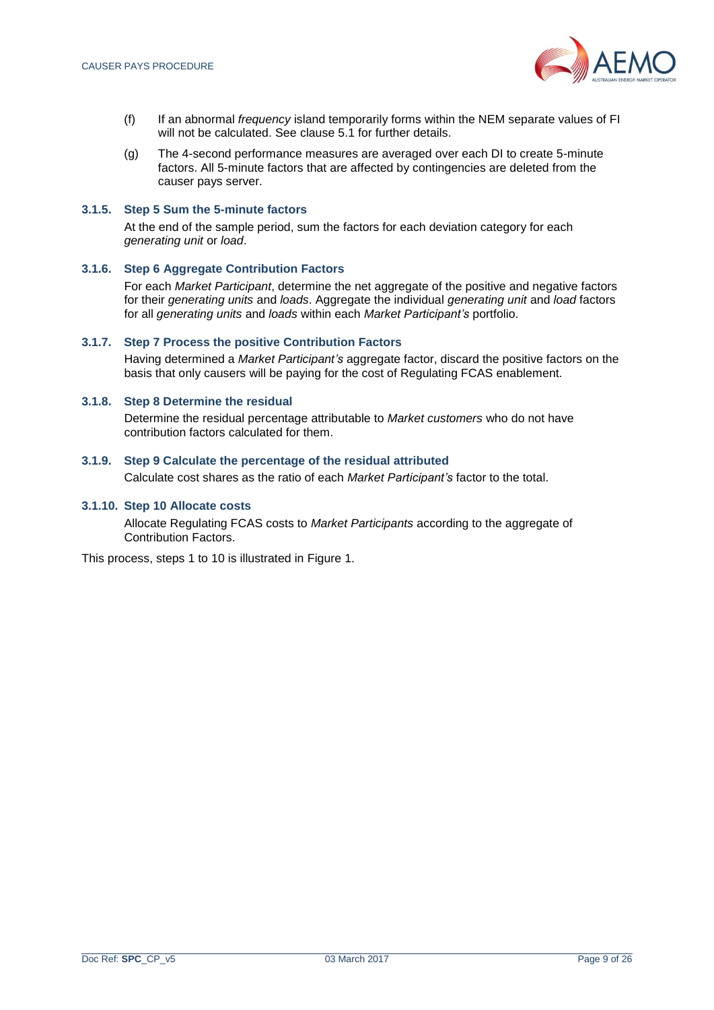

- (f) If an abnormal *frequency* island temporarily forms within the NEM separate values of FI will not be calculated. See clause [5.](#page-23-4)1 for further details.
- (g) The 4-second performance measures are averaged over each DI to create 5-minute factors. All 5-minute factors that are affected by contingencies are deleted from the causer pays server.

#### **3.1.5. Step 5 Sum the 5-minute factors**

At the end of the sample period, sum the factors for each deviation category for each *generating unit* or *load*.

#### **3.1.6. Step 6 Aggregate Contribution Factors**

For each *Market Participant*, determine the net aggregate of the positive and negative factors for their *generating units* and *loads*. Aggregate the individual *generating unit* and *load* factors for all *generating units* and *loads* within each *Market Participant's* portfolio.

#### **3.1.7. Step 7 Process the positive Contribution Factors**

Having determined a *Market Participant's* aggregate factor, discard the positive factors on the basis that only causers will be paying for the cost of Regulating FCAS enablement.

#### **3.1.8. Step 8 Determine the residual**

Determine the residual percentage attributable to *Market customers* who do not have contribution factors calculated for them.

#### **3.1.9. Step 9 Calculate the percentage of the residual attributed**

Calculate cost shares as the ratio of each *Market Participant's* factor to the total.

#### **3.1.10. Step 10 Allocate costs**

Allocate Regulating FCAS costs to *Market Participants* according to the aggregate of Contribution Factors.

This process, steps 1 to 10 is illustrated in Figure 1.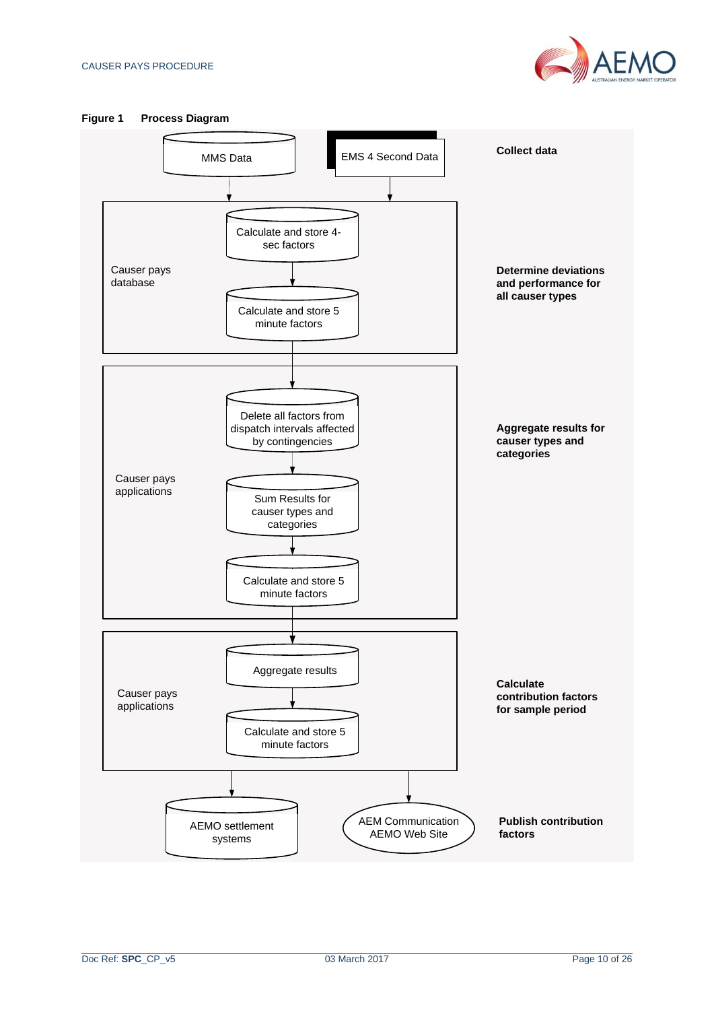

<span id="page-9-0"></span>

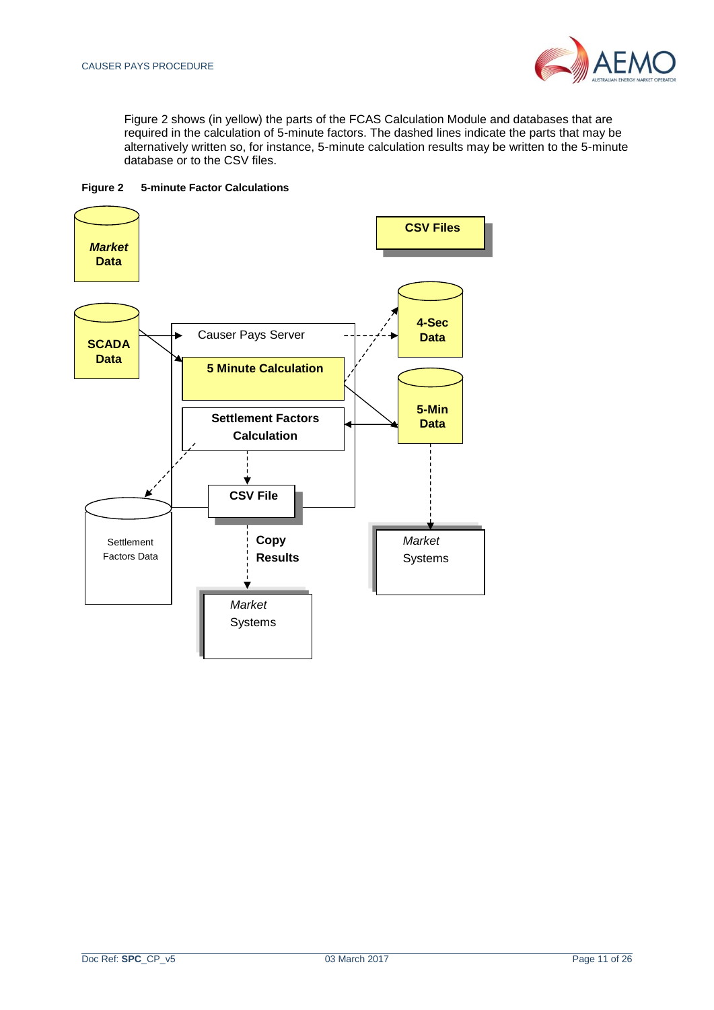

Figure 2 shows (in yellow) the parts of the FCAS Calculation Module and databases that are required in the calculation of 5-minute factors. The dashed lines indicate the parts that may be alternatively written so, for instance, 5-minute calculation results may be written to the 5-minute database or to the CSV files.

<span id="page-10-1"></span>

<span id="page-10-0"></span>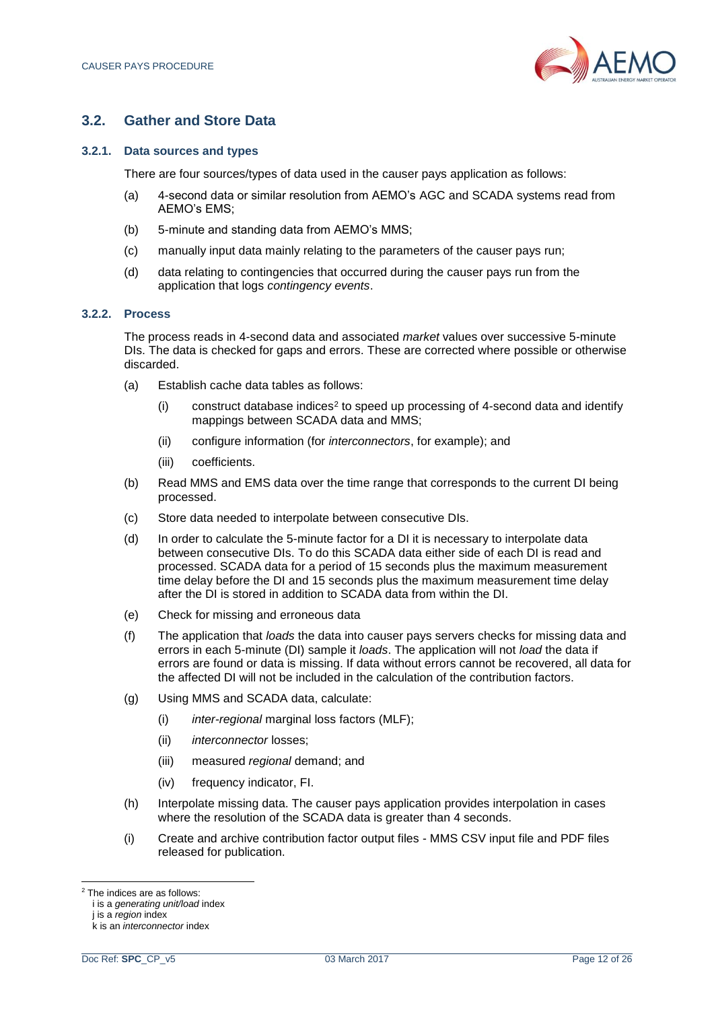

# **3.2. Gather and Store Data**

#### **3.2.1. Data sources and types**

There are four sources/types of data used in the causer pays application as follows:

- (a) 4-second data or similar resolution from AEMO's AGC and SCADA systems read from AEMO's EMS;
- (b) 5-minute and standing data from AEMO's MMS;
- (c) manually input data mainly relating to the parameters of the causer pays run;
- (d) data relating to contingencies that occurred during the causer pays run from the application that logs *contingency events*.

#### **3.2.2. Process**

The process reads in 4-second data and associated *market* values over successive 5-minute DIs. The data is checked for gaps and errors. These are corrected where possible or otherwise discarded.

- (a) Establish cache data tables as follows:
	- (i) construct database indices<sup>2</sup> to speed up processing of 4-second data and identify mappings between SCADA data and MMS;
	- (ii) configure information (for *interconnectors*, for example); and
	- (iii) coefficients.
- (b) Read MMS and EMS data over the time range that corresponds to the current DI being processed.
- (c) Store data needed to interpolate between consecutive DIs.
- (d) In order to calculate the 5-minute factor for a DI it is necessary to interpolate data between consecutive DIs. To do this SCADA data either side of each DI is read and processed. SCADA data for a period of 15 seconds plus the maximum measurement time delay before the DI and 15 seconds plus the maximum measurement time delay after the DI is stored in addition to SCADA data from within the DI.
- (e) Check for missing and erroneous data
- (f) The application that *loads* the data into causer pays servers checks for missing data and errors in each 5-minute (DI) sample it *loads*. The application will not *load* the data if errors are found or data is missing. If data without errors cannot be recovered, all data for the affected DI will not be included in the calculation of the contribution factors.
- (g) Using MMS and SCADA data, calculate:
	- (i) *inter-regional* marginal loss factors (MLF);
	- (ii) *interconnector* losses;
	- (iii) measured *regional* demand; and
	- (iv) frequency indicator, FI.
- (h) Interpolate missing data. The causer pays application provides interpolation in cases where the resolution of the SCADA data is greater than 4 seconds.
- (i) Create and archive contribution factor output files MMS CSV input file and PDF files released for publication.

<sup>2</sup> The indices are as follows:

i is a *generating unit/load* index

j is a *region* index

k is an *interconnector* index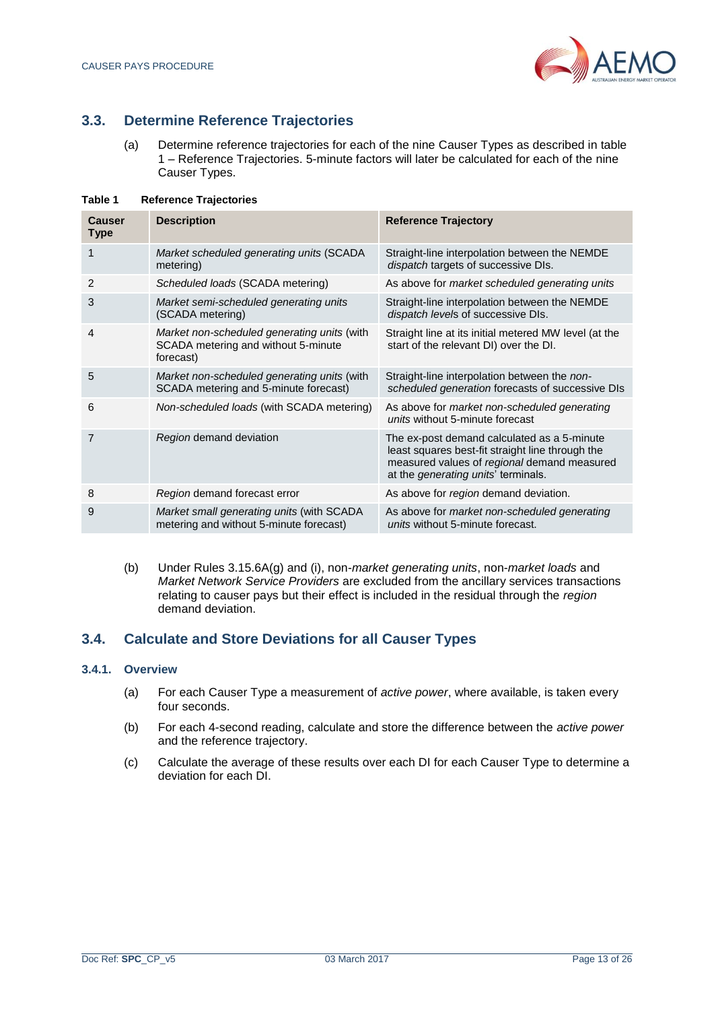

# <span id="page-12-0"></span>**3.3. Determine Reference Trajectories**

(a) Determine reference trajectories for each of the nine Causer Types as described in table 1 – Reference Trajectories. 5-minute factors will later be calculated for each of the nine Causer Types.

| Causer<br><b>Type</b> | <b>Description</b>                                                                              | <b>Reference Trajectory</b>                                                                                                                                                                  |
|-----------------------|-------------------------------------------------------------------------------------------------|----------------------------------------------------------------------------------------------------------------------------------------------------------------------------------------------|
|                       | Market scheduled generating units (SCADA<br>metering)                                           | Straight-line interpolation between the NEMDE<br>dispatch targets of successive DIs.                                                                                                         |
| 2                     | Scheduled loads (SCADA metering)                                                                | As above for market scheduled generating units                                                                                                                                               |
| 3                     | Market semi-scheduled generating units<br>(SCADA metering)                                      | Straight-line interpolation between the NEMDE<br>dispatch levels of successive DIs.                                                                                                          |
| $\overline{4}$        | Market non-scheduled generating units (with<br>SCADA metering and without 5-minute<br>forecast) | Straight line at its initial metered MW level (at the<br>start of the relevant DI) over the DI.                                                                                              |
| 5                     | Market non-scheduled generating units (with<br>SCADA metering and 5-minute forecast)            | Straight-line interpolation between the non-<br>scheduled generation forecasts of successive DIs                                                                                             |
| 6                     | Non-scheduled loads (with SCADA metering)                                                       | As above for market non-scheduled generating<br>units without 5-minute forecast                                                                                                              |
| 7                     | Region demand deviation                                                                         | The ex-post demand calculated as a 5-minute<br>least squares best-fit straight line through the<br>measured values of regional demand measured<br>at the <i>generating units'</i> terminals. |
| 8                     | Region demand forecast error                                                                    | As above for region demand deviation.                                                                                                                                                        |
| 9                     | Market small generating units (with SCADA<br>metering and without 5-minute forecast)            | As above for market non-scheduled generating<br>units without 5-minute forecast.                                                                                                             |

#### <span id="page-12-2"></span>**Table 1 Reference Trajectories**

(b) Under Rules 3.15.6A(g) and (i), non-*market generating units*, non-*market loads* and *Market Network Service Providers* are excluded from the ancillary services transactions relating to causer pays but their effect is included in the residual through the *region* demand deviation.

# <span id="page-12-1"></span>**3.4. Calculate and Store Deviations for all Causer Types**

#### **3.4.1. Overview**

- (a) For each Causer Type a measurement of *active power*, where available, is taken every four seconds.
- (b) For each 4-second reading, calculate and store the difference between the *active power* and the reference trajectory.
- (c) Calculate the average of these results over each DI for each Causer Type to determine a deviation for each DI.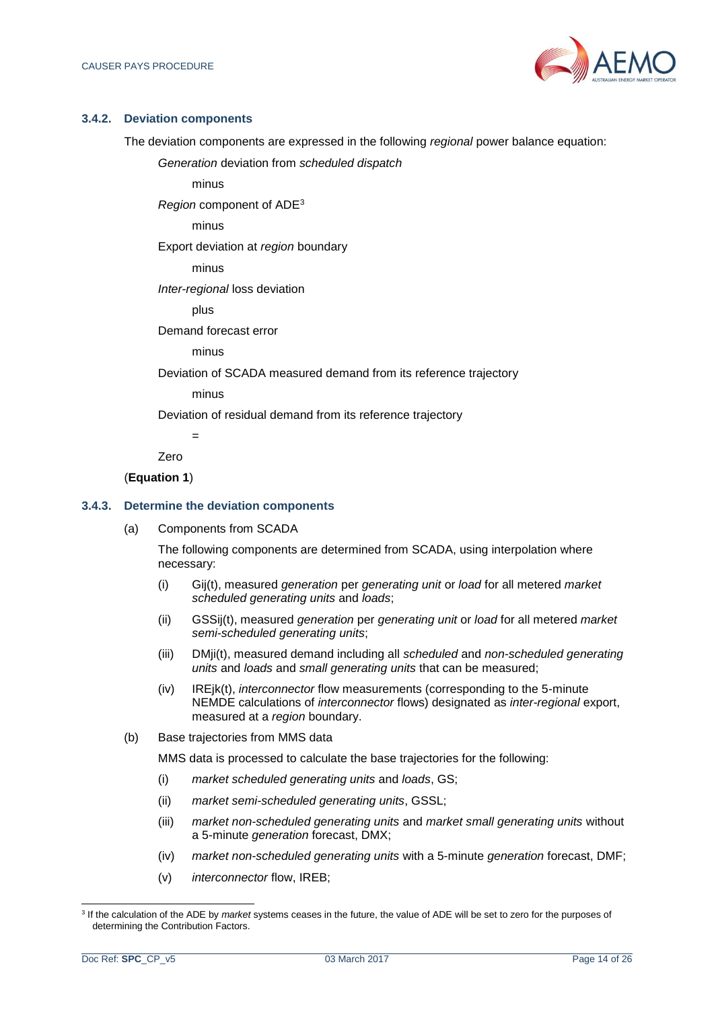

#### **3.4.2. Deviation components**

The deviation components are expressed in the following *regional* power balance equation:

*Generation* deviation from *scheduled dispatch*

minus

*Region* component of ADE<sup>3</sup>

minus

Export deviation at *region* boundary

minus

*Inter-regional* loss deviation

plus

Demand forecast error

minus

Deviation of SCADA measured demand from its reference trajectory

minus

=

Deviation of residual demand from its reference trajectory

Zero

#### (**Equation 1**)

#### **3.4.3. Determine the deviation components**

(a) Components from SCADA

The following components are determined from SCADA, using interpolation where necessary:

- (i) Gij(t), measured *generation* per *generating unit* or *load* for all metered *market scheduled generating units* and *loads*;
- (ii) GSSij(t), measured *generation* per *generating unit* or *load* for all metered *market semi-scheduled generating units*;
- (iii) DMji(t), measured demand including all *scheduled* and *non-scheduled generating units* and *loads* and *small generating units* that can be measured;
- (iv) IREjk(t), *interconnector* flow measurements (corresponding to the 5-minute NEMDE calculations of *interconnector* flows) designated as *inter-regional* export, measured at a *region* boundary.
- (b) Base trajectories from MMS data

MMS data is processed to calculate the base trajectories for the following:

- (i) *market scheduled generating units* and *loads*, GS;
- (ii) *market semi-scheduled generating units*, GSSL;
- (iii) *market non-scheduled generating units* and *market small generating units* without a 5-minute *generation* forecast, DMX;
- (iv) *market non-scheduled generating units* with a 5-minute *generation* forecast, DMF;
- (v) *interconnector* flow, IREB;

l 3 If the calculation of the ADE by *market* systems ceases in the future, the value of ADE will be set to zero for the purposes of determining the Contribution Factors.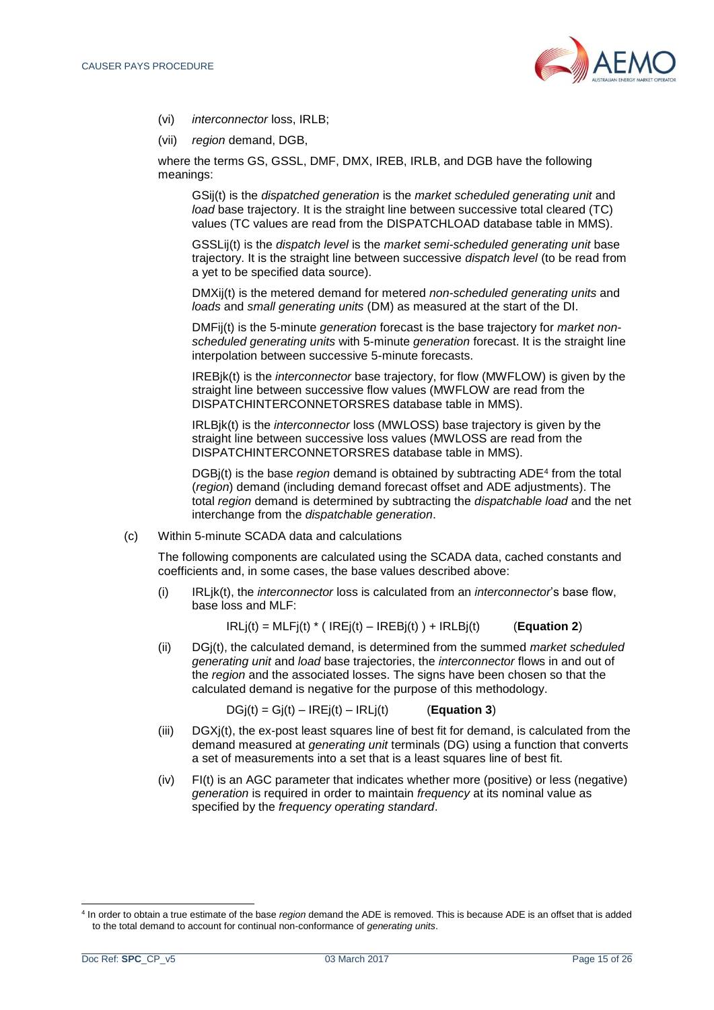

- (vi) *interconnector* loss, IRLB;
- (vii) *region* demand, DGB,

where the terms GS, GSSL, DMF, DMX, IREB, IRLB, and DGB have the following meanings:

GSij(t) is the *dispatched generation* is the *market scheduled generating unit* and *load* base trajectory. It is the straight line between successive total cleared (TC) values (TC values are read from the DISPATCHLOAD database table in MMS).

GSSLij(t) is the *dispatch level* is the *market semi-scheduled generating unit* base trajectory. It is the straight line between successive *dispatch level* (to be read from a yet to be specified data source).

DMXij(t) is the metered demand for metered *non-scheduled generating units* and *loads* and *small generating units* (DM) as measured at the start of the DI.

DMFij(t) is the 5-minute *generation* forecast is the base trajectory for *market nonscheduled generating units* with 5-minute *generation* forecast. It is the straight line interpolation between successive 5-minute forecasts.

IREBjk(t) is the *interconnector* base trajectory, for flow (MWFLOW) is given by the straight line between successive flow values (MWFLOW are read from the DISPATCHINTERCONNETORSRES database table in MMS).

IRLBjk(t) is the *interconnector* loss (MWLOSS) base trajectory is given by the straight line between successive loss values (MWLOSS are read from the DISPATCHINTERCONNETORSRES database table in MMS).

DGBj(t) is the base *region* demand is obtained by subtracting ADE<sup>4</sup> from the total (*region*) demand (including demand forecast offset and ADE adjustments). The total *region* demand is determined by subtracting the *dispatchable load* and the net interchange from the *dispatchable generation*.

(c) Within 5-minute SCADA data and calculations

The following components are calculated using the SCADA data, cached constants and coefficients and, in some cases, the base values described above:

(i) IRLjk(t), the *interconnector* loss is calculated from an *interconnector*'s base flow, base loss and MLF:

 $IRLi(t) = MLFi(t) * (IREj(t) - IREBj(t)) + IRLBj(t)$  (**Equation 2**)

(ii) DGj(t), the calculated demand, is determined from the summed *market scheduled generating unit* and *load* base trajectories, the *interconnector* flows in and out of the *region* and the associated losses. The signs have been chosen so that the calculated demand is negative for the purpose of this methodology.

 $DG(i) = Gi(t) - IRE(i) - IRLi(t)$  (**Equation 3**)

- (iii) DGXj(t), the ex-post least squares line of best fit for demand, is calculated from the demand measured at *generating unit* terminals (DG) using a function that converts a set of measurements into a set that is a least squares line of best fit.
- (iv) FI(t) is an AGC parameter that indicates whether more (positive) or less (negative) *generation* is required in order to maintain *frequency* at its nominal value as specified by the *frequency operating standard*.

<sup>4</sup> In order to obtain a true estimate of the base *region* demand the ADE is removed. This is because ADE is an offset that is added to the total demand to account for continual non-conformance of *generating units*.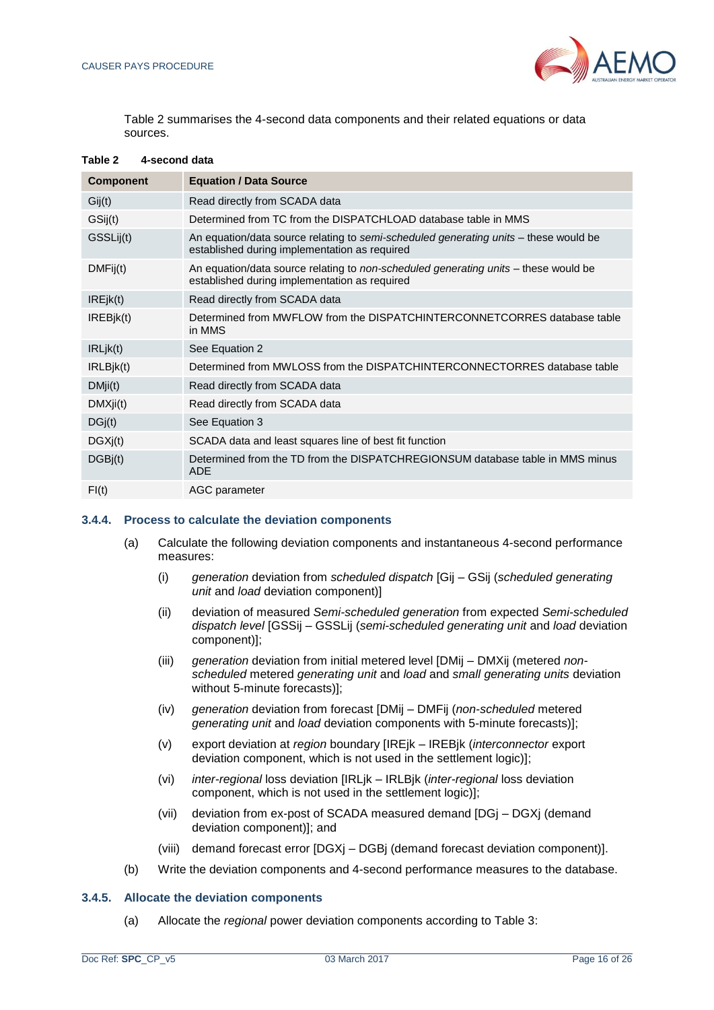

Table 2 summarises the 4-second data components and their related equations or data sources.

| <b>Component</b> | <b>Equation / Data Source</b>                                                                                                         |  |
|------------------|---------------------------------------------------------------------------------------------------------------------------------------|--|
| Gij(t)           | Read directly from SCADA data                                                                                                         |  |
| GSij(t)          | Determined from TC from the DISPATCHLOAD database table in MMS                                                                        |  |
| GSSLij(t)        | An equation/data source relating to semi-scheduled generating units – these would be<br>established during implementation as required |  |
| DMFij(t)         | An equation/data source relating to non-scheduled generating units – these would be<br>established during implementation as required  |  |
| IREjk(t)         | Read directly from SCADA data                                                                                                         |  |
| IREBik(t)        | Determined from MWFLOW from the DISPATCHINTERCONNETCORRES database table<br>in MMS                                                    |  |
| IRLjk(t)         | See Equation 2                                                                                                                        |  |
| IRLBik(t)        | Determined from MWLOSS from the DISPATCHINTERCONNECTORRES database table                                                              |  |
| DMji(t)          | Read directly from SCADA data                                                                                                         |  |
| DMXji(t)         | Read directly from SCADA data                                                                                                         |  |
| DGj(t)           | See Equation 3                                                                                                                        |  |
| DGXj(t)          | SCADA data and least squares line of best fit function                                                                                |  |
| DGBi(t)          | Determined from the TD from the DISPATCHREGIONSUM database table in MMS minus<br><b>ADE</b>                                           |  |
| FI(t)            | AGC parameter                                                                                                                         |  |

#### <span id="page-15-0"></span>**Table 2 4-second data**

#### <span id="page-15-1"></span>**3.4.4. Process to calculate the deviation components**

- (a) Calculate the following deviation components and instantaneous 4-second performance measures:
	- (i) *generation* deviation from *scheduled dispatch* [Gij GSij (*scheduled generating unit* and *load* deviation component)]
	- (ii) deviation of measured *Semi-scheduled generation* from expected *Semi-scheduled dispatch level* [GSSij – GSSLij (*semi-scheduled generating unit* and *load* deviation component)];
	- (iii) *generation* deviation from initial metered level [DMij DMXij (metered *nonscheduled* metered *generating unit* and *load* and *small generating units* deviation without 5-minute forecasts)];
	- (iv) *generation* deviation from forecast [DMij DMFij (*non-scheduled* metered *generating unit* and *load* deviation components with 5-minute forecasts)];
	- (v) export deviation at *region* boundary [IREjk IREBjk (*interconnector* export deviation component, which is not used in the settlement logic)];
	- (vi) *inter-regional* loss deviation [IRLjk IRLBjk (*inter-regional* loss deviation component, which is not used in the settlement logic)];
	- (vii) deviation from ex-post of SCADA measured demand [DGj DGXj (demand deviation component)]; and
	- (viii) demand forecast error [DGXj DGBj (demand forecast deviation component)].
- (b) Write the deviation components and 4-second performance measures to the database.

#### **3.4.5. Allocate the deviation components**

(a) Allocate the *regional* power deviation components according to Table 3: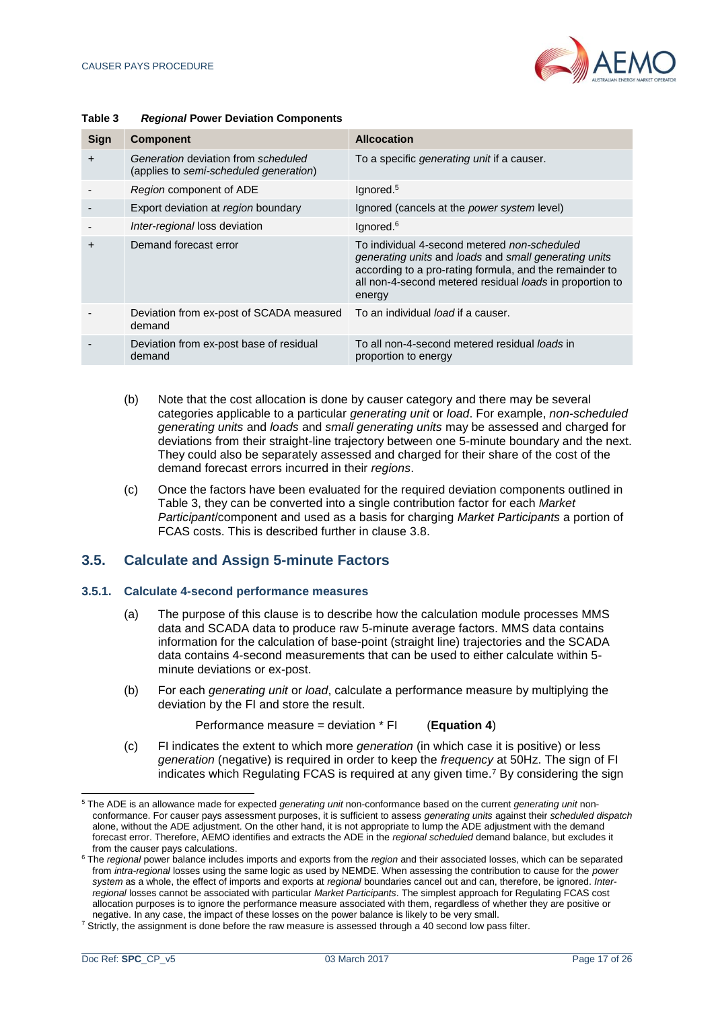

| Sign      | <b>Component</b>                                                              | <b>Allcocation</b>                                                                                                                                                                                                                     |
|-----------|-------------------------------------------------------------------------------|----------------------------------------------------------------------------------------------------------------------------------------------------------------------------------------------------------------------------------------|
| $\ddot{}$ | Generation deviation from scheduled<br>(applies to semi-scheduled generation) | To a specific <i>generating unit</i> if a causer.                                                                                                                                                                                      |
|           | Region component of ADE                                                       | lgnored. <sup>5</sup>                                                                                                                                                                                                                  |
|           | Export deviation at region boundary                                           | Ignored (cancels at the <i>power system</i> level)                                                                                                                                                                                     |
|           | Inter-regional loss deviation                                                 | lgnored. <sup>6</sup>                                                                                                                                                                                                                  |
| +         | Demand forecast error                                                         | To individual 4-second metered non-scheduled<br>generating units and loads and small generating units<br>according to a pro-rating formula, and the remainder to<br>all non-4-second metered residual loads in proportion to<br>energy |
|           | Deviation from ex-post of SCADA measured<br>demand                            | To an individual <i>load</i> if a causer.                                                                                                                                                                                              |
|           | Deviation from ex-post base of residual<br>demand                             | To all non-4-second metered residual loads in<br>proportion to energy                                                                                                                                                                  |

#### <span id="page-16-1"></span>**Table 3** *Regional* **Power Deviation Components**

- (b) Note that the cost allocation is done by causer category and there may be several categories applicable to a particular *generating unit* or *load*. For example, *non-scheduled generating units* and *loads* and *small generating units* may be assessed and charged for deviations from their straight-line trajectory between one 5-minute boundary and the next. They could also be separately assessed and charged for their share of the cost of the demand forecast errors incurred in their *regions*.
- (c) Once the factors have been evaluated for the required deviation components outlined in Table 3, they can be converted into a single contribution factor for each *Market Participant*/component and used as a basis for charging *Market Participants* a portion of FCAS costs. This is described further in clause [3.8.](#page-20-1)

# <span id="page-16-0"></span>**3.5. Calculate and Assign 5-minute Factors**

#### **3.5.1. Calculate 4-second performance measures**

- (a) The purpose of this clause is to describe how the calculation module processes MMS data and SCADA data to produce raw 5-minute average factors. MMS data contains information for the calculation of base-point (straight line) trajectories and the SCADA data contains 4-second measurements that can be used to either calculate within 5 minute deviations or ex-post.
- (b) For each *generating unit* or *load*, calculate a performance measure by multiplying the deviation by the FI and store the result.

Performance measure = deviation \* FI (**Equation 4**)

(c) FI indicates the extent to which more *generation* (in which case it is positive) or less *generation* (negative) is required in order to keep the *frequency* at 50Hz. The sign of FI indicates which Regulating FCAS is required at any given time.<sup>7</sup> By considering the sign

l <sup>5</sup> The ADE is an allowance made for expected *generating unit* non-conformance based on the current *generating unit* nonconformance. For causer pays assessment purposes, it is sufficient to assess *generating units* against their *scheduled dispatch* alone, without the ADE adjustment. On the other hand, it is not appropriate to lump the ADE adjustment with the demand forecast error. Therefore, AEMO identifies and extracts the ADE in the *regional scheduled* demand balance, but excludes it from the causer pays calculations.

<sup>6</sup> The *regional* power balance includes imports and exports from the *region* and their associated losses, which can be separated from *intra-regional* losses using the same logic as used by NEMDE. When assessing the contribution to cause for the *power system* as a whole, the effect of imports and exports at *regional* boundaries cancel out and can, therefore, be ignored. *Interregional* losses cannot be associated with particular *Market Participants*. The simplest approach for Regulating FCAS cost allocation purposes is to ignore the performance measure associated with them, regardless of whether they are positive or negative. In any case, the impact of these losses on the power balance is likely to be very small.

<sup>&</sup>lt;sup>7</sup> Strictly, the assignment is done before the raw measure is assessed through a 40 second low pass filter.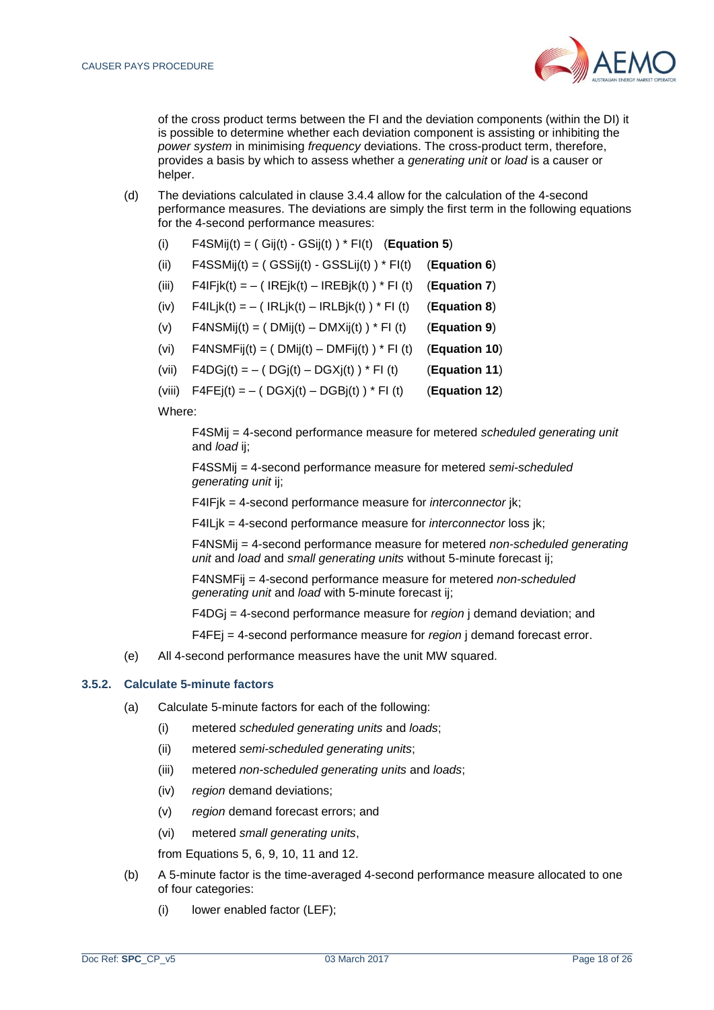

of the cross product terms between the FI and the deviation components (within the DI) it is possible to determine whether each deviation component is assisting or inhibiting the *power system* in minimising *frequency* deviations. The cross-product term, therefore, provides a basis by which to assess whether a *generating unit* or *load* is a causer or helper.

- (d) The deviations calculated in clause [3.4.4](#page-15-1) allow for the calculation of the 4-second performance measures. The deviations are simply the first term in the following equations for the 4-second performance measures:
	- (i)  $F4SMii(t) = ( Gi(t) GSii(t)) * Fl(t)$  (**Equation 5**)
	- (ii) F4SSMij(t) = ( GSSij(t) GSSLij(t) ) \* FI(t) (**Equation 6**)
	- (iii)  $F4IFik(t) = -$  (  $IREik(t) IREBik(t)$  )  $*$  FI (t) (**Equation 7**)
	- (iv)  $F4ILjk(t) = -( IRLjk(t) IRLBjk(t)) * Fl(t)$  (**Equation 8**)
	- (v) F4NSMij(t) = ( DMij(t) DMXij(t) ) \* FI (t) (**Equation 9**)
	- (vi)  $F4NSMFii(t) = (DMii(t) DMFi(t)) * FI(t)$  (**Equation 10**)
	- (vii)  $F4DGj(t) = -(DGj(t) DGXj(t)) * FI(t)$  (**Equation 11**)
	- (viii)  $\overline{F4FE}$   $(t) = -(DSXi(t) DGBi(t)) * FI(t)$  (**Equation 12**)

Where:

F4SMij = 4-second performance measure for metered *scheduled generating unit* and *load* ij;

F4SSMij = 4-second performance measure for metered *semi-scheduled generating unit* ij;

F4IFjk = 4-second performance measure for *interconnector* jk;

F4ILjk = 4-second performance measure for *interconnector* loss jk;

F4NSMij = 4-second performance measure for metered *non-scheduled generating unit* and *load* and *small generating units* without 5-minute forecast ij;

F4NSMFij = 4-second performance measure for metered *non-scheduled generating unit* and *load* with 5-minute forecast ij;

F4DGj = 4-second performance measure for *region* j demand deviation; and

F4FEj = 4-second performance measure for *region* j demand forecast error.

(e) All 4-second performance measures have the unit MW squared.

#### **3.5.2. Calculate 5-minute factors**

- (a) Calculate 5-minute factors for each of the following:
	- (i) metered *scheduled generating units* and *loads*;
	- (ii) metered *semi-scheduled generating units*;
	- (iii) metered *non-scheduled generating units* and *loads*;
	- (iv) *region* demand deviations;
	- (v) *region* demand forecast errors; and
	- (vi) metered *small generating units*,

from Equations 5, 6, 9, 10, 11 and 12.

- (b) A 5-minute factor is the time-averaged 4-second performance measure allocated to one of four categories:
	- (i) lower enabled factor (LEF);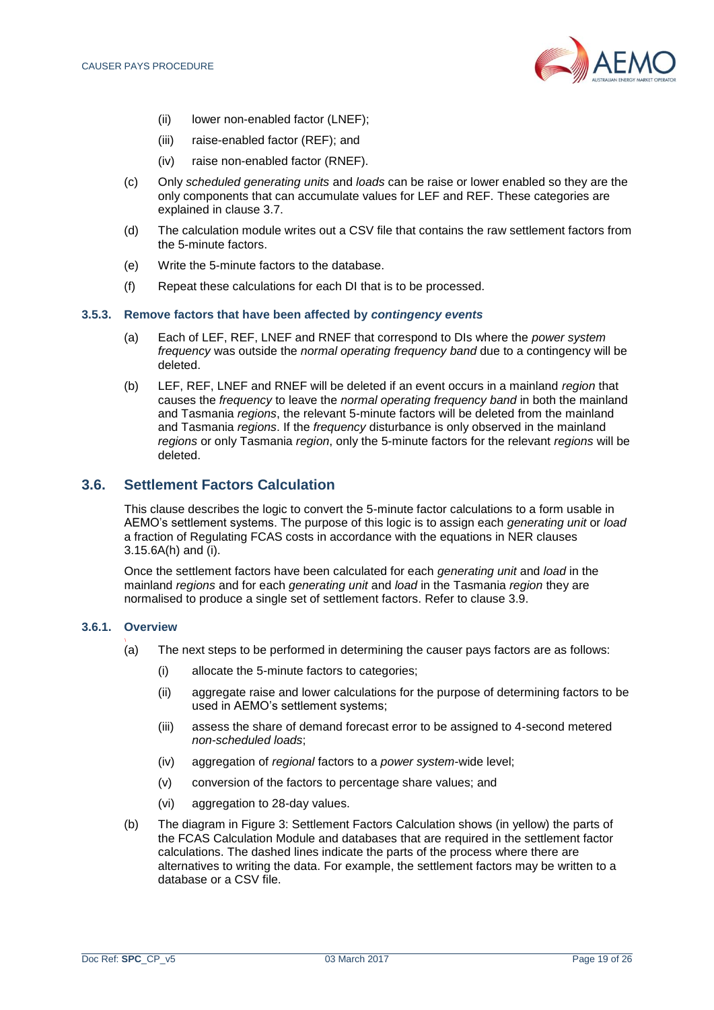

- (ii) lower non-enabled factor (LNEF);
- (iii) raise-enabled factor (REF); and
- (iv) raise non-enabled factor (RNEF).
- (c) Only *scheduled generating units* and *loads* can be raise or lower enabled so they are the only components that can accumulate values for LEF and REF. These categories are explained in clause [3.7.](#page-20-0)
- (d) The calculation module writes out a CSV file that contains the raw settlement factors from the 5-minute factors.
- (e) Write the 5-minute factors to the database.
- (f) Repeat these calculations for each DI that is to be processed.

#### **3.5.3. Remove factors that have been affected by** *contingency events*

- (a) Each of LEF, REF, LNEF and RNEF that correspond to DIs where the *power system frequency* was outside the *normal operating frequency band* due to a contingency will be deleted.
- (b) LEF, REF, LNEF and RNEF will be deleted if an event occurs in a mainland *region* that causes the *frequency* to leave the *normal operating frequency band* in both the mainland and Tasmania *regions*, the relevant 5-minute factors will be deleted from the mainland and Tasmania *regions*. If the *frequency* disturbance is only observed in the mainland *regions* or only Tasmania *region*, only the 5-minute factors for the relevant *regions* will be deleted.

#### <span id="page-18-0"></span>**3.6. Settlement Factors Calculation**

This clause describes the logic to convert the 5-minute factor calculations to a form usable in AEMO's settlement systems. The purpose of this logic is to assign each *generating unit* or *load* a fraction of Regulating FCAS costs in accordance with the equations in NER clauses 3.15.6A(h) and (i).

Once the settlement factors have been calculated for each *generating unit* and *load* in the mainland *regions* and for each *generating unit* and *load* in the Tasmania *region* they are normalised to produce a single set of settlement factors. Refer to clause [3.9.](#page-22-0)

#### **3.6.1. Overview** \

- (a) The next steps to be performed in determining the causer pays factors are as follows:
	- (i) allocate the 5-minute factors to categories;
	- (ii) aggregate raise and lower calculations for the purpose of determining factors to be used in AEMO's settlement systems;
	- (iii) assess the share of demand forecast error to be assigned to 4-second metered *non-scheduled loads*;
	- (iv) aggregation of *regional* factors to a *power system*-wide level;
	- (v) conversion of the factors to percentage share values; and
	- (vi) aggregation to 28-day values.
- (b) The diagram in Figure 3: Settlement Factors Calculation shows (in yellow) the parts of the FCAS Calculation Module and databases that are required in the settlement factor calculations. The dashed lines indicate the parts of the process where there are alternatives to writing the data. For example, the settlement factors may be written to a database or a CSV file.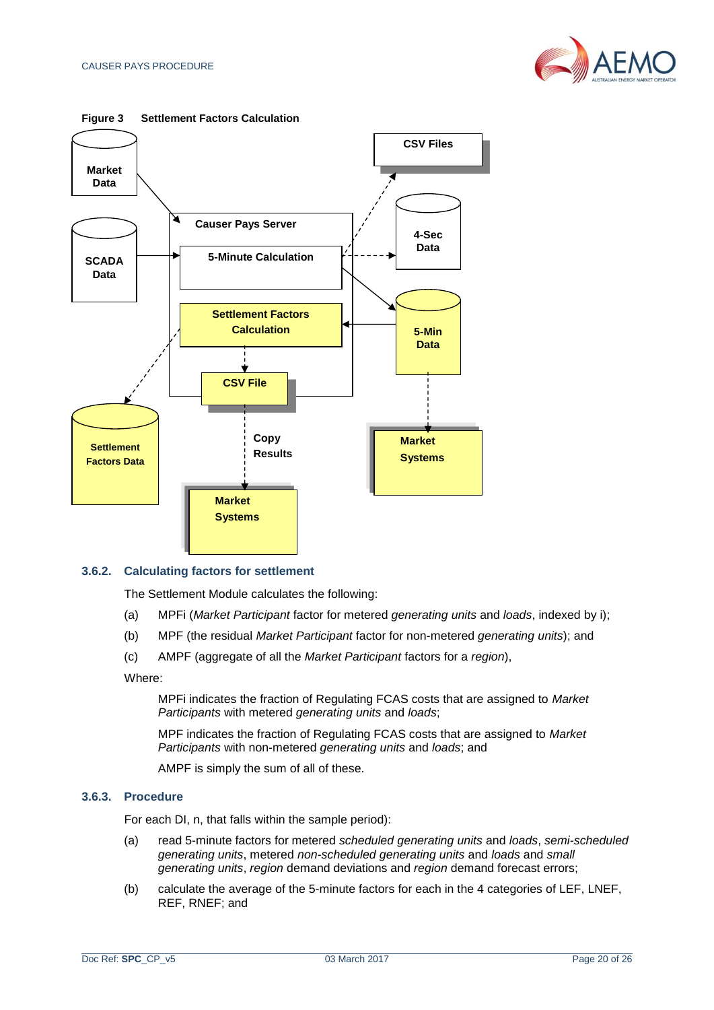



#### <span id="page-19-0"></span>**Figure 3 Settlement Factors Calculation**

#### **3.6.2. Calculating factors for settlement**

The Settlement Module calculates the following:

- (a) MPFi (*Market Participant* factor for metered *generating units* and *loads*, indexed by i);
- (b) MPF (the residual *Market Participant* factor for non-metered *generating units*); and
- (c) AMPF (aggregate of all the *Market Participant* factors for a *region*),

Where:

MPFi indicates the fraction of Regulating FCAS costs that are assigned to *Market Participants* with metered *generating units* and *loads*;

MPF indicates the fraction of Regulating FCAS costs that are assigned to *Market Participants* with non-metered *generating units* and *loads*; and

AMPF is simply the sum of all of these.

#### **3.6.3. Procedure**

For each DI, n, that falls within the sample period):

- (a) read 5-minute factors for metered *scheduled generating units* and *loads*, *semi-scheduled generating units*, metered *non-scheduled generating units* and *loads* and *small generating units*, *region* demand deviations and *region* demand forecast errors;
- (b) calculate the average of the 5-minute factors for each in the 4 categories of LEF, LNEF, REF, RNEF; and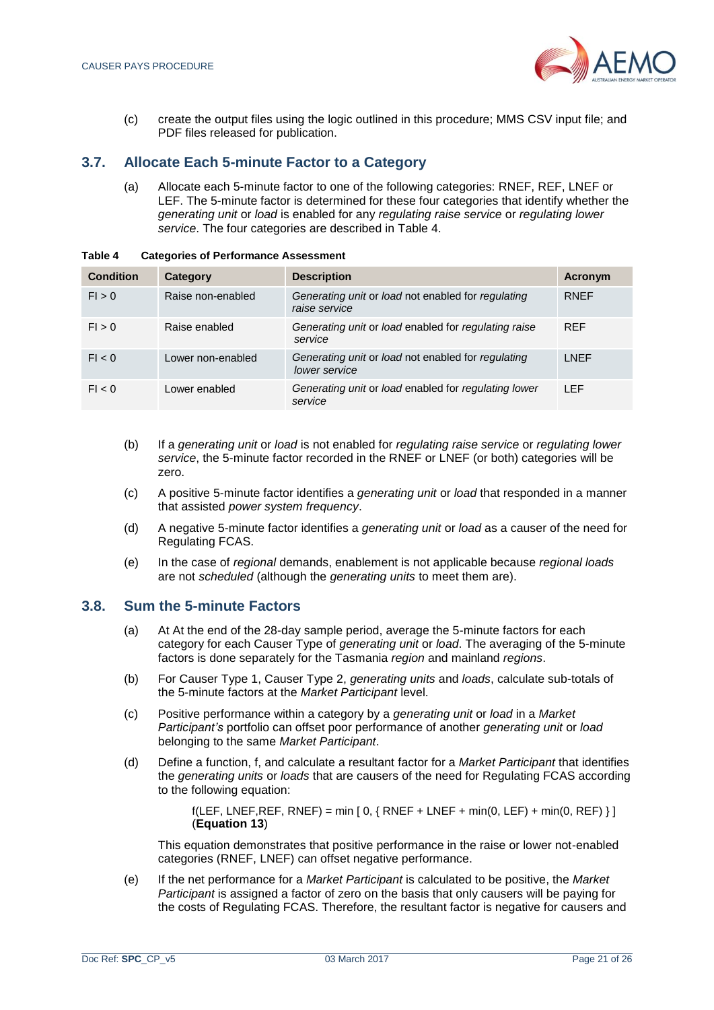

(c) create the output files using the logic outlined in this procedure; MMS CSV input file; and PDF files released for publication.

# <span id="page-20-0"></span>**3.7. Allocate Each 5-minute Factor to a Category**

(a) Allocate each 5-minute factor to one of the following categories: RNEF, REF, LNEF or LEF. The 5-minute factor is determined for these four categories that identify whether the *generating unit* or *load* is enabled for any *regulating raise service* or *regulating lower service*. The four categories are described in Table 4.

| <b>Condition</b> | Category          | <b>Description</b>                                                  | <b>Acronym</b> |
|------------------|-------------------|---------------------------------------------------------------------|----------------|
| FI > 0           | Raise non-enabled | Generating unit or load not enabled for regulating<br>raise service | <b>RNEF</b>    |
| FI > 0           | Raise enabled     | Generating unit or load enabled for regulating raise<br>service     | <b>REF</b>     |
| FI < 0           | Lower non-enabled | Generating unit or load not enabled for regulating<br>lower service | <b>LNEF</b>    |
| FI < 0           | Lower enabled     | Generating unit or load enabled for regulating lower<br>service     | <b>LEF</b>     |

<span id="page-20-2"></span>**Table 4 Categories of Performance Assessment**

- (b) If a *generating unit* or *load* is not enabled for *regulating raise service* or *regulating lower service*, the 5-minute factor recorded in the RNEF or LNEF (or both) categories will be zero.
- (c) A positive 5-minute factor identifies a *generating unit* or *load* that responded in a manner that assisted *power system frequency*.
- (d) A negative 5-minute factor identifies a *generating unit* or *load* as a causer of the need for Regulating FCAS.
- (e) In the case of *regional* demands, enablement is not applicable because *regional loads* are not *scheduled* (although the *generating units* to meet them are).

#### <span id="page-20-1"></span>**3.8. Sum the 5-minute Factors**

- (a) At At the end of the 28-day sample period, average the 5-minute factors for each category for each Causer Type of *generating unit* or *load*. The averaging of the 5-minute factors is done separately for the Tasmania *region* and mainland *regions*.
- (b) For Causer Type 1, Causer Type 2, *generating units* and *loads*, calculate sub-totals of the 5-minute factors at the *Market Participant* level.
- (c) Positive performance within a category by a *generating unit* or *load* in a *Market Participant's* portfolio can offset poor performance of another *generating unit* or *load* belonging to the same *Market Participant*.
- (d) Define a function, f, and calculate a resultant factor for a *Market Participant* that identifies the *generating units* or *loads* that are causers of the need for Regulating FCAS according to the following equation:

 $f(LEF, LNEF, RREF, RNEF) = min [0, {RNEF + LNEF + min(0, LEF) + min(0, REF)}]$ (**Equation 13**)

This equation demonstrates that positive performance in the raise or lower not-enabled categories (RNEF, LNEF) can offset negative performance.

(e) If the net performance for a *Market Participant* is calculated to be positive, the *Market Participant* is assigned a factor of zero on the basis that only causers will be paying for the costs of Regulating FCAS. Therefore, the resultant factor is negative for causers and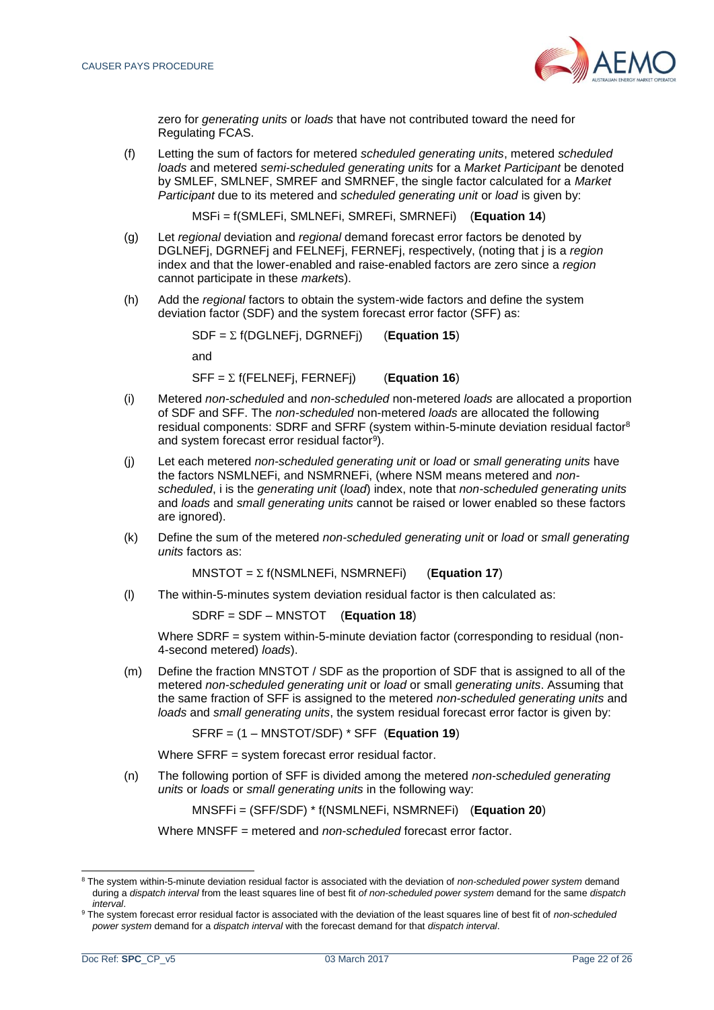

zero for *generating units* or *loads* that have not contributed toward the need for Regulating FCAS.

(f) Letting the sum of factors for metered *scheduled generating units*, metered *scheduled loads* and metered *semi-scheduled generating units* for a *Market Participant* be denoted by SMLEF, SMLNEF, SMREF and SMRNEF, the single factor calculated for a *Market Participant* due to its metered and *scheduled generating unit* or *load* is given by:

MSFi = f(SMLEFi, SMLNEFi, SMREFi, SMRNEFi) (**Equation 14**)

- (g) Let *regional* deviation and *regional* demand forecast error factors be denoted by DGLNEFj, DGRNEFj and FELNEFj, FERNEFj, respectively, (noting that j is a *region* index and that the lower-enabled and raise-enabled factors are zero since a *region* cannot participate in these *market*s).
- (h) Add the *regional* factors to obtain the system-wide factors and define the system deviation factor (SDF) and the system forecast error factor (SFF) as:

 $SDF = \sum f(DGLNET)$ , DGRNEFj) (**Equation 15**)

and

SFF = f(FELNEFj, FERNEFj) (**Equation 16**)

- (i) Metered *non-scheduled* and *non-scheduled* non-metered *loads* are allocated a proportion of SDF and SFF. The *non-scheduled* non-metered *loads* are allocated the following residual components: SDRF and SFRF (system within-5-minute deviation residual factor<sup>8</sup> and system forecast error residual factor<sup>9</sup>).
- (j) Let each metered *non-scheduled generating unit* or *load* or *small generating units* have the factors NSMLNEFi, and NSMRNEFi, (where NSM means metered and *nonscheduled*, i is the *generating unit* (*load*) index, note that *non-scheduled generating units* and *loads* and *small generating units* cannot be raised or lower enabled so these factors are ignored).
- (k) Define the sum of the metered *non-scheduled generating unit* or *load* or *small generating units* factors as:

 $MNSTOT = \sum f(NSMLNEFi, NSMRNEFi)$  (**Equation 17**)

(l) The within-5-minutes system deviation residual factor is then calculated as:

SDRF = SDF – MNSTOT (**Equation 18**)

Where SDRF = system within-5-minute deviation factor (corresponding to residual (non-4-second metered) *loads*).

(m) Define the fraction MNSTOT / SDF as the proportion of SDF that is assigned to all of the metered *non-scheduled generating unit* or *load* or small *generating units*. Assuming that the same fraction of SFF is assigned to the metered *non-scheduled generating units* and *loads* and *small generating units*, the system residual forecast error factor is given by:

SFRF = (1 – MNSTOT/SDF) \* SFF (**Equation 19**)

Where SFRF = system forecast error residual factor.

(n) The following portion of SFF is divided among the metered *non-scheduled generating units* or *loads* or *small generating units* in the following way:

MNSFFi = (SFF/SDF) \* f(NSMLNEFi, NSMRNEFi) (**Equation 20**)

Where MNSFF = metered and *non-scheduled* forecast error factor.

<sup>8</sup> The system within-5-minute deviation residual factor is associated with the deviation of *non-scheduled power system* demand during a *dispatch interval* from the least squares line of best fit *of non-scheduled power system* demand for the same *dispatch interval*.

<sup>9</sup> The system forecast error residual factor is associated with the deviation of the least squares line of best fit of *non-scheduled power system* demand for a *dispatch interval* with the forecast demand for that *dispatch interval*.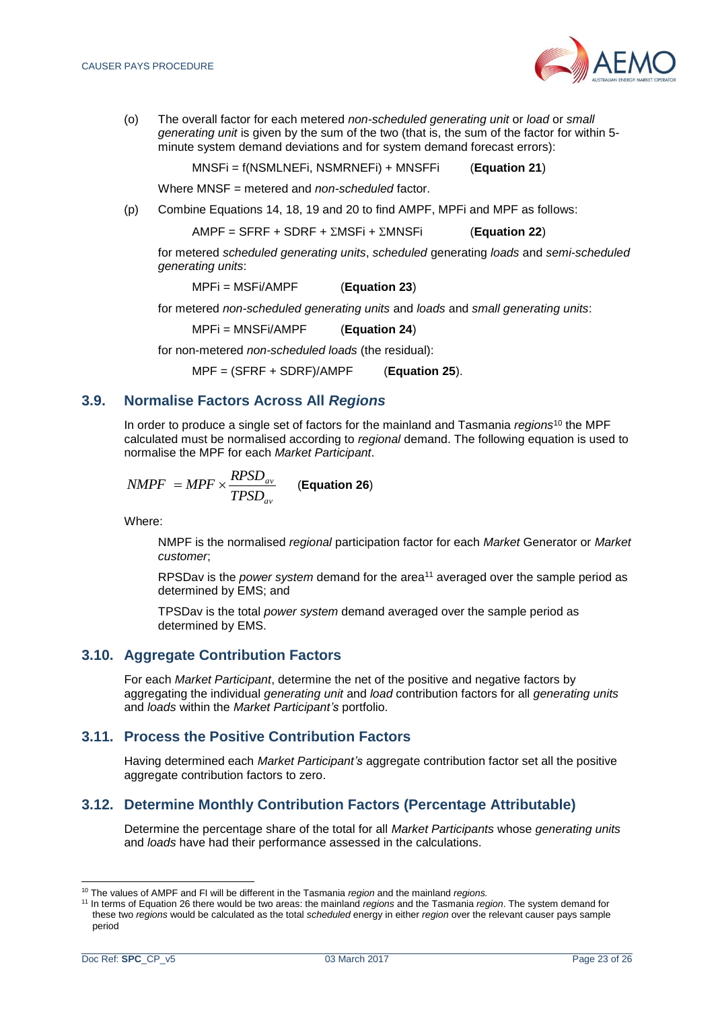

(o) The overall factor for each metered *non-scheduled generating unit* or *load* or *small generating unit* is given by the sum of the two (that is, the sum of the factor for within 5 minute system demand deviations and for system demand forecast errors):

MNSFi = f(NSMLNEFi, NSMRNEFi) + MNSFFi (**Equation 21**)

Where MNSF = metered and *non-scheduled* factor.

(p) Combine Equations 14, 18, 19 and 20 to find AMPF, MPFi and MPF as follows:

 $AMPF = SFRF + SDRF + \Sigma MSFi + \Sigma MNSFi$  (**Equation 22**)

for metered *scheduled generating units*, *scheduled* generating *loads* and *semi-scheduled generating units*:

$$
MPFi = MSFi/AMPF
$$
 (Equation 23)

for metered *non-scheduled generating units* and *loads* and *small generating units*:

MPFi = MNSFi/AMPF (**Equation 24**)

for non-metered *non-scheduled loads* (the residual):

MPF = (SFRF + SDRF)/AMPF (**Equation 25**).

## <span id="page-22-0"></span>**3.9. Normalise Factors Across All** *Regions*

In order to produce a single set of factors for the mainland and Tasmania *regions*<sup>10</sup> the MPF calculated must be normalised according to *regional* demand. The following equation is used to normalise the MPF for each *Market Participant*.

$$
NMPF = MPF \times \frac{RPSD_{av}}{TPSD_{av}}
$$
 (Equation 26)

Where:

NMPF is the normalised *regional* participation factor for each *Market* Generator or *Market customer*;

RPSDav is the *power system* demand for the area<sup>11</sup> averaged over the sample period as determined by EMS; and

TPSDav is the total *power system* demand averaged over the sample period as determined by EMS.

#### <span id="page-22-1"></span>**3.10. Aggregate Contribution Factors**

For each *Market Participant*, determine the net of the positive and negative factors by aggregating the individual *generating unit* and *load* contribution factors for all *generating units* and *loads* within the *Market Participant's* portfolio.

#### <span id="page-22-2"></span>**3.11. Process the Positive Contribution Factors**

Having determined each *Market Participant's* aggregate contribution factor set all the positive aggregate contribution factors to zero.

# <span id="page-22-3"></span>**3.12. Determine Monthly Contribution Factors (Percentage Attributable)**

Determine the percentage share of the total for all *Market Participants* whose *generating units* and *loads* have had their performance assessed in the calculations.

<sup>10</sup> The values of AMPF and FI will be different in the Tasmania *region* and the mainland *regions.*

<sup>11</sup> In terms of Equation 26 there would be two areas: the mainland *regions* and the Tasmania *region*. The system demand for these two *regions* would be calculated as the total *scheduled* energy in either *region* over the relevant causer pays sample period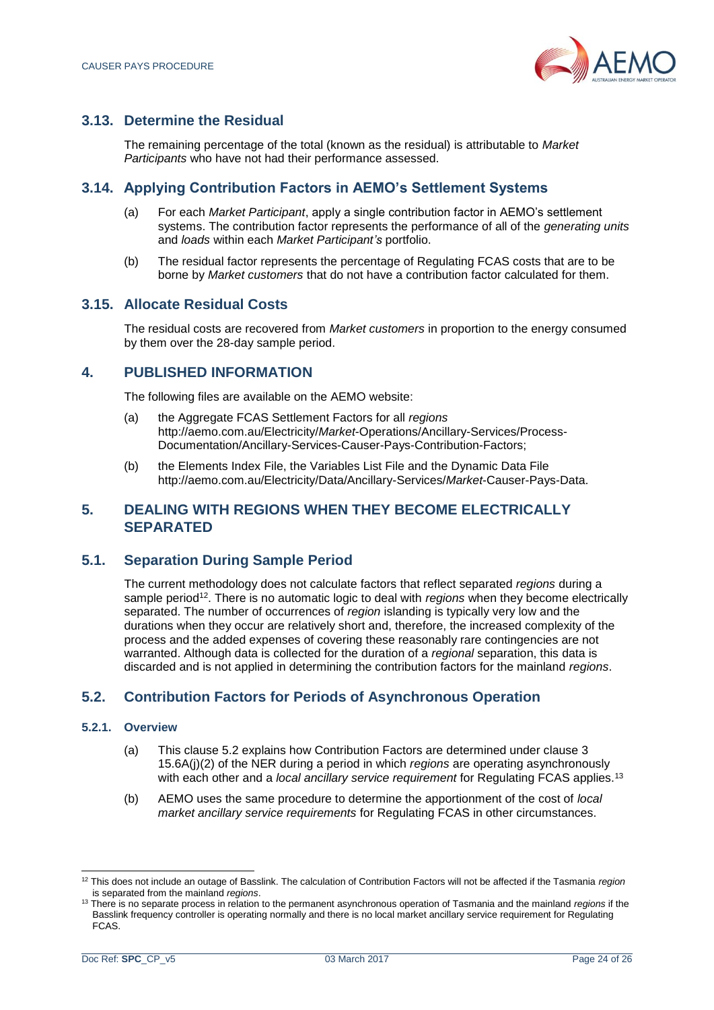

# <span id="page-23-0"></span>**3.13. Determine the Residual**

The remaining percentage of the total (known as the residual) is attributable to *Market Participants* who have not had their performance assessed.

# <span id="page-23-1"></span>**3.14. Applying Contribution Factors in AEMO's Settlement Systems**

- (a) For each *Market Participant*, apply a single contribution factor in AEMO's settlement systems. The contribution factor represents the performance of all of the *generating units* and *loads* within each *Market Participant's* portfolio.
- (b) The residual factor represents the percentage of Regulating FCAS costs that are to be borne by *Market customers* that do not have a contribution factor calculated for them.

# <span id="page-23-2"></span>**3.15. Allocate Residual Costs**

The residual costs are recovered from *Market customers* in proportion to the energy consumed by them over the 28-day sample period.

# <span id="page-23-3"></span>**4. PUBLISHED INFORMATION**

The following files are available on the AEMO website:

- (a) the Aggregate FCAS Settlement Factors for all *regions* http://aemo.com.au/Electricity/*Market*-Operations/Ancillary-Services/Process-Documentation/Ancillary-Services-Causer-Pays-Contribution-Factors;
- (b) the Elements Index File, the Variables List File and the Dynamic Data File http://aemo.com.au/Electricity/Data/Ancillary-Services/*Market*-Causer-Pays-Data.

# <span id="page-23-4"></span>**5. DEALING WITH REGIONS WHEN THEY BECOME ELECTRICALLY SEPARATED**

# **5.1. Separation During Sample Period**

The current methodology does not calculate factors that reflect separated *regions* during a sample period<sup>12</sup>. There is no automatic logic to deal with *regions* when they become electrically separated. The number of occurrences of *region* islanding is typically very low and the durations when they occur are relatively short and, therefore, the increased complexity of the process and the added expenses of covering these reasonably rare contingencies are not warranted. Although data is collected for the duration of a *regional* separation, this data is discarded and is not applied in determining the contribution factors for the mainland *regions*.

# <span id="page-23-5"></span>**5.2. Contribution Factors for Periods of Asynchronous Operation**

#### **5.2.1. Overview**

- (a) This clause [5.2](#page-23-5) explains how Contribution Factors are determined under clause 3 15.6A(j)(2) of the NER during a period in which *regions* are operating asynchronously with each other and a *local ancillary service requirement* for Regulating FCAS applies.<sup>13</sup>
- (b) AEMO uses the same procedure to determine the apportionment of the cost of *local market ancillary service requirements* for Regulating FCAS in other circumstances.

l <sup>12</sup> This does not include an outage of Basslink. The calculation of Contribution Factors will not be affected if the Tasmania *region*  is separated from the mainland *regions*.

<sup>13</sup> There is no separate process in relation to the permanent asynchronous operation of Tasmania and the mainland *regions* if the Basslink frequency controller is operating normally and there is no local market ancillary service requirement for Regulating FCAS.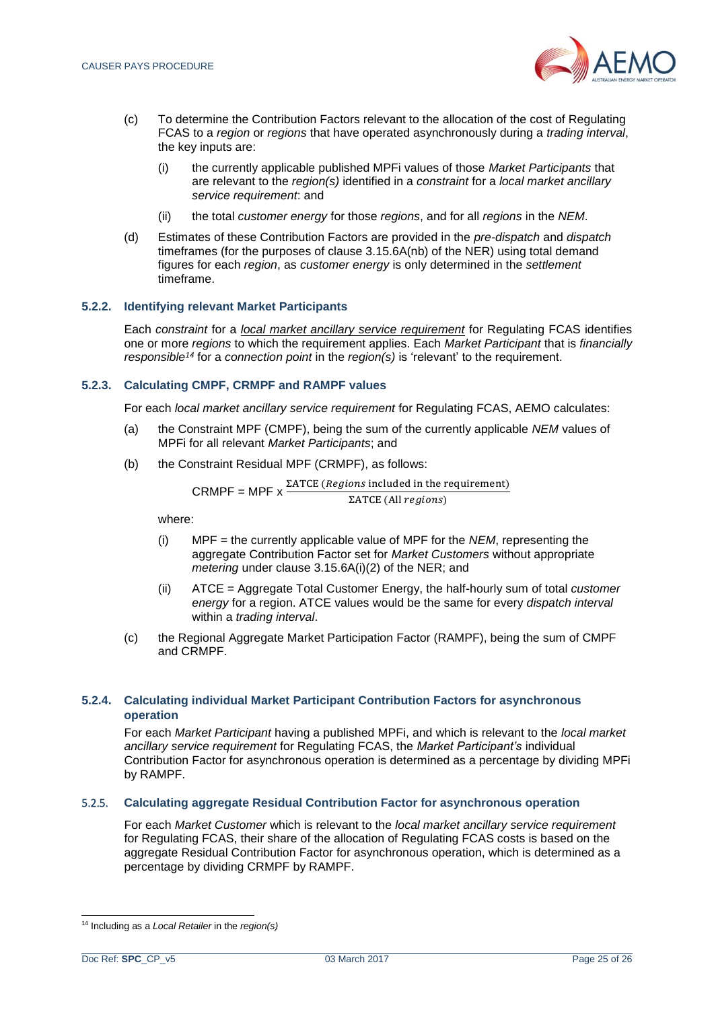

- (c) To determine the Contribution Factors relevant to the allocation of the cost of Regulating FCAS to a *region* or *regions* that have operated asynchronously during a *trading interval*, the key inputs are:
	- (i) the currently applicable published MPFi values of those *Market Participants* that are relevant to the *region(s)* identified in a *constraint* for a *local market ancillary service requirement*: and
	- (ii) the total *customer energy* for those *regions*, and for all *regions* in the *NEM*.
- (d) Estimates of these Contribution Factors are provided in the *pre-dispatch* and *dispatch* timeframes (for the purposes of clause 3.15.6A(nb) of the NER) using total demand figures for each *region*, as *customer energy* is only determined in the *settlement*  timeframe.

#### **5.2.2. Identifying relevant Market Participants**

Each *constraint* for a *local market ancillary service requirement* for Regulating FCAS identifies one or more *regions* to which the requirement applies. Each *Market Participant* that is *financially responsible<sup>14</sup>* for a *connection point* in the *region(s)* is 'relevant' to the requirement.

#### **5.2.3. Calculating CMPF, CRMPF and RAMPF values**

For each *local market ancillary service requirement* for Regulating FCAS, AEMO calculates:

- (a) the Constraint MPF (CMPF), being the sum of the currently applicable *NEM* values of MPFi for all relevant *Market Participants*; and
- (b) the Constraint Residual MPF (CRMPF), as follows:

$$
CRMPF = MPF \times \frac{\Sigma ATCE \ (Regions \ included \ in \ the \ requirement)}{\Sigma ATCE \ (All \ regions)}
$$

where:

- (i) MPF = the currently applicable value of MPF for the *NEM*, representing the aggregate Contribution Factor set for *Market Customers* without appropriate *metering* under clause 3.15.6A(i)(2) of the NER; and
- (ii) ATCE = Aggregate Total Customer Energy, the half-hourly sum of total *customer energy* for a region. ATCE values would be the same for every *dispatch interval*  within a *trading interval*.
- (c) the Regional Aggregate Market Participation Factor (RAMPF), being the sum of CMPF and CRMPF.

#### **5.2.4. Calculating individual Market Participant Contribution Factors for asynchronous operation**

For each *Market Participant* having a published MPFi, and which is relevant to the *local market ancillary service requirement* for Regulating FCAS, the *Market Participant's* individual Contribution Factor for asynchronous operation is determined as a percentage by dividing MPFi by RAMPF.

#### 5.2.5. **Calculating aggregate Residual Contribution Factor for asynchronous operation**

For each *Market Customer* which is relevant to the *local market ancillary service requirement*  for Regulating FCAS, their share of the allocation of Regulating FCAS costs is based on the aggregate Residual Contribution Factor for asynchronous operation, which is determined as a percentage by dividing CRMPF by RAMPF.

<sup>14</sup> Including as a *Local Retailer* in the *region(s)*